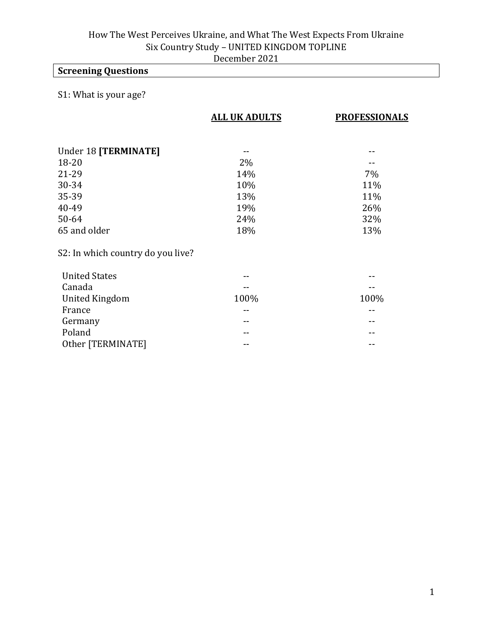# **Screening Questions**

#### S1: What is your age?

|                                   | <b>ALL UK ADULTS</b> | <b>PROFESSIONALS</b> |
|-----------------------------------|----------------------|----------------------|
|                                   |                      |                      |
| Under 18 [TERMINATE]              |                      |                      |
| $18 - 20$                         | 2%                   |                      |
| 21-29                             | 14%                  | 7%                   |
| 30-34                             | 10%                  | 11%                  |
| 35-39                             | 13%                  | 11%                  |
| 40-49                             | 19%                  | 26%                  |
| $50 - 64$                         | 24%                  | 32%                  |
| 65 and older                      | 18%                  | 13%                  |
| S2: In which country do you live? |                      |                      |
| <b>United States</b>              |                      |                      |
| Canada                            |                      |                      |
| <b>United Kingdom</b>             | 100%                 | 100%                 |
| France                            |                      |                      |
| Germany                           | --                   |                      |
| Poland                            |                      |                      |
| Other [TERMINATE]                 | --                   |                      |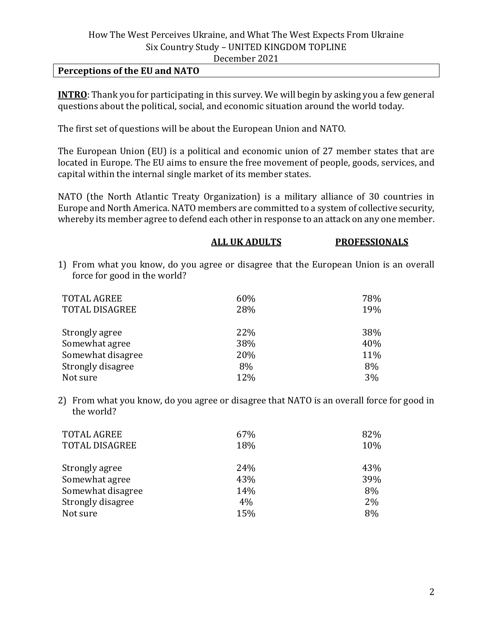#### **Perceptions of the EU and NATO**

**INTRO**: Thank you for participating in this survey. We will begin by asking you a few general questions about the political, social, and economic situation around the world today.

The first set of questions will be about the European Union and NATO.

The European Union (EU) is a political and economic union of 27 member states that are located in Europe. The EU aims to ensure the free movement of people, goods, services, and capital within the internal single market of its member states.

NATO (the North Atlantic Treaty Organization) is a military alliance of 30 countries in Europe and North America. NATO members are committed to a system of collective security, whereby its member agree to defend each other in response to an attack on any one member.

|                              | <b>ALL UK ADULTS</b> | <b>PROFESSIONALS</b>                                                                  |
|------------------------------|----------------------|---------------------------------------------------------------------------------------|
| force for good in the world? |                      | 1) From what you know, do you agree or disagree that the European Union is an overall |
| <b>TOTAL AGREE</b>           | 60%                  | 78%                                                                                   |
| <b>TOTAL DISAGREE</b>        | 28%                  | 19%                                                                                   |
| Strongly agree               | 22%                  | 38%                                                                                   |
| Somewhat agree               | 38%                  | 40%                                                                                   |
| Somewhat disagree            | 20%                  | 11%                                                                                   |
| Strongly disagree            | 8%                   | 8%                                                                                    |
| Not sure                     | 12%                  | 3%                                                                                    |

2) From what you know, do you agree or disagree that NATO is an overall force for good in the world?

| <b>TOTAL AGREE</b><br><b>TOTAL DISAGREE</b> | 67%<br>18% | 82%<br>10% |
|---------------------------------------------|------------|------------|
| Strongly agree                              | 24%        | 43%        |
| Somewhat agree                              | 43%        | 39%        |
| Somewhat disagree                           | 14%        | 8%         |
| Strongly disagree                           | 4%         | 2%         |
| Not sure                                    | 15%        | 8%         |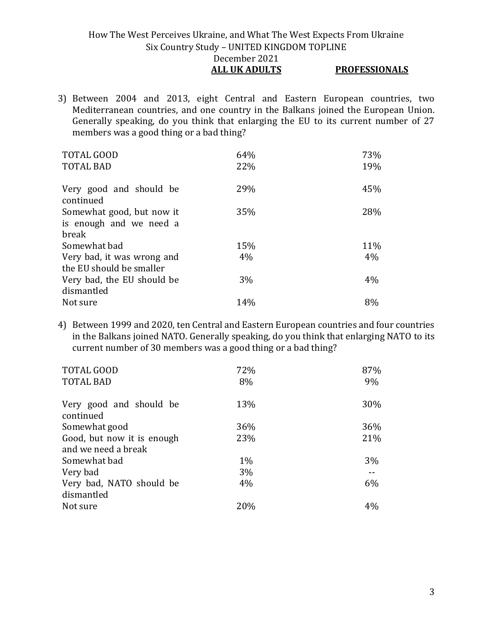#### How The West Perceives Ukraine, and What The West Expects From Ukraine Six Country Study – UNITED KINGDOM TOPLINE December 2021 **ALL UK ADULTS PROFESSIONALS**

3) Between 2004 and 2013, eight Central and Eastern European countries, two Mediterranean countries, and one country in the Balkans joined the European Union. Generally speaking, do you think that enlarging the EU to its current number of 27 members was a good thing or a bad thing?

| <b>TOTAL GOOD</b>          | 64%   | 73% |
|----------------------------|-------|-----|
| <b>TOTAL BAD</b>           | 22%   | 19% |
| Very good and should be    | 29%   | 45% |
| continued                  |       |     |
| Somewhat good, but now it  | 35%   | 28% |
| is enough and we need a    |       |     |
| break                      |       |     |
| Somewhat bad               | 15%   | 11% |
| Very bad, it was wrong and | $4\%$ | 4%  |
| the EU should be smaller   |       |     |
| Very bad, the EU should be | 3%    | 4%  |
| dismantled                 |       |     |
| Not sure                   | 14%   | 8%  |

4) Between 1999 and 2020, ten Central and Eastern European countries and four countries in the Balkans joined NATO. Generally speaking, do you think that enlarging NATO to its current number of 30 members was a good thing or a bad thing?

| 72%<br>8% | 87%<br>9% |
|-----------|-----------|
| 13%       | 30%       |
| 36%       | 36%       |
| 23%       | 21%       |
|           |           |
| $1\%$     | 3%        |
| 3%        |           |
| $4\%$     | 6%        |
|           |           |
| 20%       | $4\%$     |
|           |           |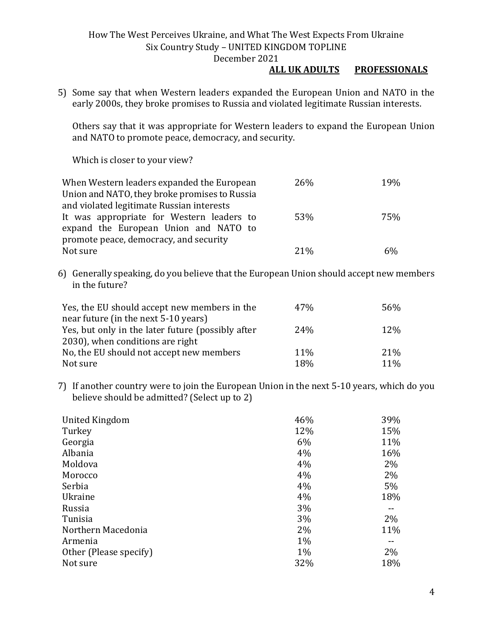#### **ALL UK ADULTS PROFESSIONALS**

5) Some say that when Western leaders expanded the European Union and NATO in the early 2000s, they broke promises to Russia and violated legitimate Russian interests.

Others say that it was appropriate for Western leaders to expand the European Union and NATO to promote peace, democracy, and security.

Which is closer to your view?

| When Western leaders expanded the European    | <b>26%</b> | 19% |
|-----------------------------------------------|------------|-----|
| Union and NATO, they broke promises to Russia |            |     |
| and violated legitimate Russian interests     |            |     |
| It was appropriate for Western leaders to     | 53%        | 75% |
| expand the European Union and NATO to         |            |     |
| promote peace, democracy, and security        |            |     |
| Not sure                                      | $21\%$     | 6%  |

6) Generally speaking, do you believe that the European Union should accept new members in the future?

| Yes, the EU should accept new members in the      | 47 <sub>%</sub> | 56%        |
|---------------------------------------------------|-----------------|------------|
| near future (in the next 5-10 years)              |                 |            |
| Yes, but only in the later future (possibly after | 24 <sub>%</sub> | 12%        |
| 2030), when conditions are right                  |                 |            |
| No, the EU should not accept new members          | 11%             | 21\%       |
| Not sure                                          | 18%             | <b>11%</b> |

7) If another country were to join the European Union in the next 5-10 years, which do you believe should be admitted? (Select up to 2)

| United Kingdom         | 46%   | 39%   |
|------------------------|-------|-------|
| Turkey                 | 12%   | 15%   |
| Georgia                | 6%    | 11%   |
| Albania                | 4%    | 16%   |
| Moldova                | 4%    | 2%    |
| Morocco                | 4%    | $2\%$ |
| Serbia                 | 4%    | 5%    |
| <b>Ukraine</b>         | 4%    | 18%   |
| Russia                 | 3%    |       |
| Tunisia                | 3%    | 2%    |
| Northern Macedonia     | 2%    | 11%   |
| Armenia                | 1%    |       |
| Other (Please specify) | $1\%$ | 2%    |
| Not sure               | 32%   | 18%   |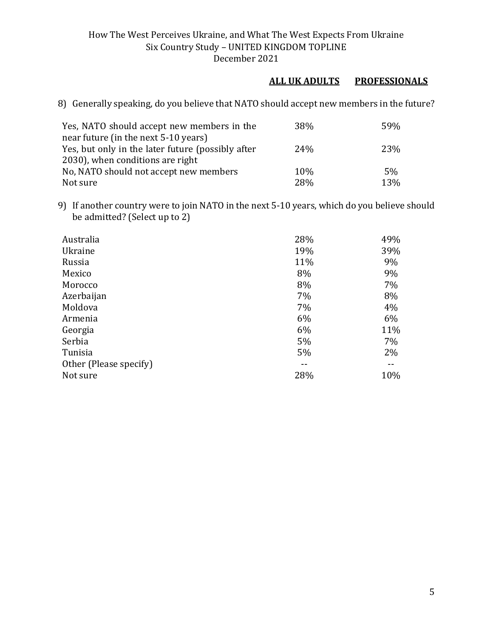#### **ALL UK ADULTS PROFESSIONALS**

8) Generally speaking, do you believe that NATO should accept new members in the future?

| Yes, NATO should accept new members in the        | <b>38%</b> | 59% |
|---------------------------------------------------|------------|-----|
| near future (in the next 5-10 years)              |            |     |
| Yes, but only in the later future (possibly after | 24%        | 23% |
| 2030), when conditions are right                  |            |     |
| No, NATO should not accept new members            | 10%        | 5%  |
| Not sure                                          | 28%        | 13% |

9) If another country were to join NATO in the next 5-10 years, which do you believe should be admitted? (Select up to 2)

| Australia              | 28% | 49% |
|------------------------|-----|-----|
| Ukraine                | 19% | 39% |
| Russia                 | 11% | 9%  |
| Mexico                 | 8%  | 9%  |
| Morocco                | 8%  | 7%  |
| Azerbaijan             | 7%  | 8%  |
| Moldova                | 7%  | 4%  |
| Armenia                | 6%  | 6%  |
| Georgia                | 6%  | 11% |
| Serbia                 | 5%  | 7%  |
| Tunisia                | 5%  | 2%  |
| Other (Please specify) |     |     |
| Not sure               | 28% | 10% |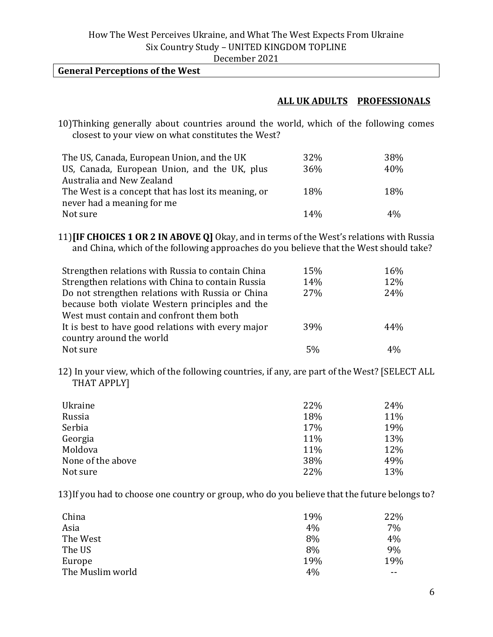#### **General Perceptions of the West**

#### **ALL UK ADULTS PROFESSIONALS**

10)Thinking generally about countries around the world, which of the following comes closest to your view on what constitutes the West?

| The US, Canada, European Union, and the UK          | 32% | 38%   |
|-----------------------------------------------------|-----|-------|
| US, Canada, European Union, and the UK, plus        | 36% | 40%   |
| Australia and New Zealand                           |     |       |
| The West is a concept that has lost its meaning, or | 18% | 18%   |
| never had a meaning for me                          |     |       |
| Not sure                                            | 14% | $4\%$ |

11)**[IF CHOICES 1 OR 2 IN ABOVE Q]** Okay, and in terms of the West's relations with Russia and China, which of the following approaches do you believe that the West should take?

| Strengthen relations with Russia to contain China  | 15% | 16%             |
|----------------------------------------------------|-----|-----------------|
| Strengthen relations with China to contain Russia  | 14% | 12%             |
| Do not strengthen relations with Russia or China   | 27% | 24%             |
| because both violate Western principles and the    |     |                 |
| West must contain and confront them both           |     |                 |
| It is best to have good relations with every major | 39% | 44%             |
| country around the world                           |     |                 |
| Not sure                                           | 5%  | 40 <sub>0</sub> |

12) In your view, which of the following countries, if any, are part of the West? [SELECT ALL THAT APPLY]

| Ukraine           | 22% | 24% |
|-------------------|-----|-----|
| Russia            | 18% | 11% |
| Serbia            | 17% | 19% |
| Georgia           | 11% | 13% |
| Moldova           | 11% | 12% |
| None of the above | 38% | 49% |
| Not sure          | 22% | 13% |

13)If you had to choose one country or group, who do you believe that the future belongs to?

| China            | 19% | 22% |
|------------------|-----|-----|
| Asia             | 4%  | 7%  |
| The West         | 8%  | 4%  |
| The US           | 8%  | 9%  |
| Europe           | 19% | 19% |
| The Muslim world | 4%  | --  |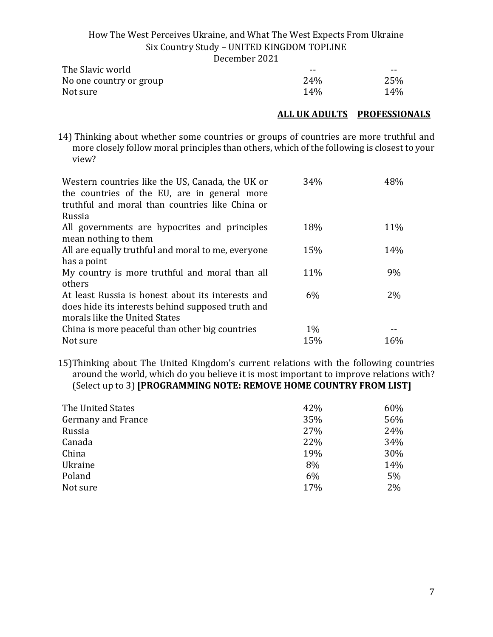| December 2021 |  |  |
|---------------|--|--|
|               |  |  |

| The Slavic world        | $- -$           | $- -$ |
|-------------------------|-----------------|-------|
| No one country or group | 24%             | 25%   |
| Not sure                | 14 <sub>%</sub> | 14%   |

#### **ALL UK ADULTS PROFESSIONALS**

14) Thinking about whether some countries or groups of countries are more truthful and more closely follow moral principles than others, which of the following is closest to your view?

| Western countries like the US, Canada, the UK or<br>the countries of the EU, are in general more<br>truthful and moral than countries like China or<br>Russia | 34%   | 48% |
|---------------------------------------------------------------------------------------------------------------------------------------------------------------|-------|-----|
| All governments are hypocrites and principles                                                                                                                 | 18%   | 11% |
| mean nothing to them                                                                                                                                          |       |     |
| All are equally truthful and moral to me, everyone                                                                                                            | 15%   | 14% |
| has a point                                                                                                                                                   |       |     |
| My country is more truthful and moral than all                                                                                                                | 11%   | 9%  |
| others                                                                                                                                                        |       |     |
| At least Russia is honest about its interests and                                                                                                             | 6%    | 2%  |
| does hide its interests behind supposed truth and                                                                                                             |       |     |
| morals like the United States                                                                                                                                 |       |     |
| China is more peaceful than other big countries                                                                                                               | $1\%$ |     |
| Not sure                                                                                                                                                      | 15%   | 16% |

15)Thinking about The United Kingdom's current relations with the following countries around the world, which do you believe it is most important to improve relations with? (Select up to 3) **[PROGRAMMING NOTE: REMOVE HOME COUNTRY FROM LIST]**

| The United States         | 42% | 60% |
|---------------------------|-----|-----|
| <b>Germany and France</b> | 35% | 56% |
| Russia                    | 27% | 24% |
| Canada                    | 22% | 34% |
| China                     | 19% | 30% |
| Ukraine                   | 8%  | 14% |
| Poland                    | 6%  | 5%  |
| Not sure                  | 17% | 2%  |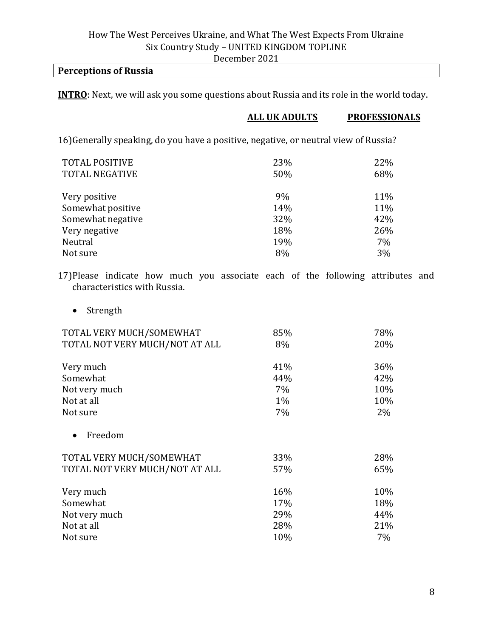#### **Perceptions of Russia**

**INTRO**: Next, we will ask you some questions about Russia and its role in the world today.

#### **ALL UK ADULTS PROFESSIONALS**

16)Generally speaking, do you have a positive, negative, or neutral view of Russia?

| <b>TOTAL POSITIVE</b><br><b>TOTAL NEGATIVE</b> | 23%<br>50% | 22%<br>68% |
|------------------------------------------------|------------|------------|
| Very positive                                  | 9%         | 11%        |
| Somewhat positive                              | 14%        | 11%        |
| Somewhat negative                              | 32%        | 42%        |
| Very negative                                  | 18%        | 26%        |
| Neutral                                        | 19%        | 7%         |
| Not sure                                       | 8%         | 3%         |

17)Please indicate how much you associate each of the following attributes and characteristics with Russia.

• Strength

| TOTAL VERY MUCH/SOMEWHAT       | 85% | 78%   |
|--------------------------------|-----|-------|
| TOTAL NOT VERY MUCH/NOT AT ALL | 8%  | 20%   |
| Very much                      | 41% | 36%   |
| Somewhat                       | 44% | 42%   |
| Not very much                  | 7%  | 10%   |
| Not at all                     | 1%  | 10%   |
| Not sure                       | 7%  | 2%    |
| Freedom                        |     |       |
| TOTAL VERY MUCH/SOMEWHAT       | 33% | 28%   |
| TOTAL NOT VERY MUCH/NOT AT ALL | 57% | 65%   |
| Very much                      | 16% | 10%   |
| Somewhat                       | 17% | 18%   |
| Not very much                  | 29% | 44%   |
| Not at all                     | 28% | 21%   |
| Not sure                       | 10% | $7\%$ |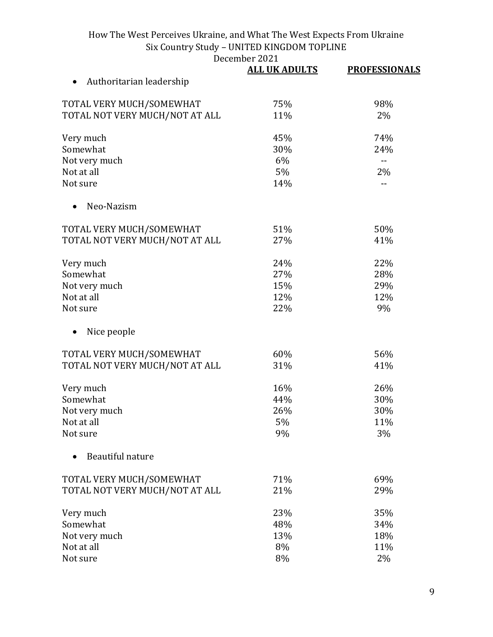December 2021<br>ALL JIK ADIILTS

|                                | <b>ALL UK ADULTS</b> | <b>PROFESSIONALS</b> |
|--------------------------------|----------------------|----------------------|
| Authoritarian leadership       |                      |                      |
| TOTAL VERY MUCH/SOMEWHAT       | 75%                  | 98%                  |
| TOTAL NOT VERY MUCH/NOT AT ALL | 11%                  | 2%                   |
| Very much                      | 45%                  | 74%                  |
| Somewhat                       | 30%                  | 24%                  |
| Not very much                  | 6%                   | --                   |
| Not at all                     | 5%                   | 2%                   |
| Not sure                       | 14%                  | --                   |
| Neo-Nazism                     |                      |                      |
| TOTAL VERY MUCH/SOMEWHAT       | 51%                  | 50%                  |
| TOTAL NOT VERY MUCH/NOT AT ALL | 27%                  | 41%                  |
| Very much                      | 24%                  | 22%                  |
| Somewhat                       | 27%                  | 28%                  |
| Not very much                  | 15%                  | 29%                  |
| Not at all                     | 12%                  | 12%                  |
| Not sure                       | 22%                  | 9%                   |
| Nice people                    |                      |                      |
| TOTAL VERY MUCH/SOMEWHAT       | 60%                  | 56%                  |
| TOTAL NOT VERY MUCH/NOT AT ALL | 31%                  | 41%                  |
| Very much                      | 16%                  | 26%                  |
| Somewhat                       | 44%                  | 30%                  |
| Not very much                  | 26%                  | 30%                  |
| Not at all                     | 5%                   | 11%                  |
| Not sure                       | 9%                   | 3%                   |
| Beautiful nature               |                      |                      |
| TOTAL VERY MUCH/SOMEWHAT       | 71%                  | 69%                  |
| TOTAL NOT VERY MUCH/NOT AT ALL | 21%                  | 29%                  |
| Very much                      | 23%                  | 35%                  |
| Somewhat                       | 48%                  | 34%                  |
| Not very much                  | 13%                  | 18%                  |
| Not at all                     | 8%                   | 11%                  |
| Not sure                       | 8%                   | $2\%$                |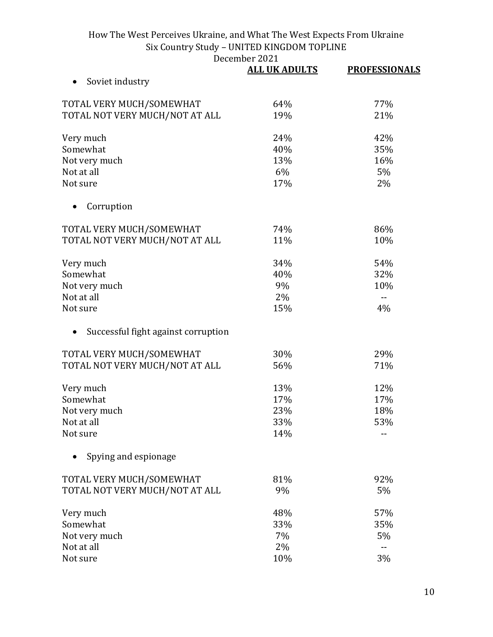|                                     | UUMUUL LULL<br><b>ALL UK ADULTS</b> | <b>PROFESSIONALS</b> |
|-------------------------------------|-------------------------------------|----------------------|
| Soviet industry                     |                                     |                      |
| TOTAL VERY MUCH/SOMEWHAT            | 64%                                 | 77%                  |
| TOTAL NOT VERY MUCH/NOT AT ALL      | 19%                                 | 21%                  |
| Very much                           | 24%                                 | 42%                  |
| Somewhat                            | 40%                                 | 35%                  |
| Not very much                       | 13%                                 | 16%                  |
| Not at all                          | 6%                                  | 5%                   |
| Not sure                            | 17%                                 | 2%                   |
| Corruption                          |                                     |                      |
| TOTAL VERY MUCH/SOMEWHAT            | 74%                                 | 86%                  |
| TOTAL NOT VERY MUCH/NOT AT ALL      | 11%                                 | 10%                  |
| Very much                           | 34%                                 | 54%                  |
| Somewhat                            | 40%                                 | 32%                  |
| Not very much                       | 9%                                  | 10%                  |
| Not at all                          | 2%                                  |                      |
| Not sure                            | 15%                                 | 4%                   |
| Successful fight against corruption |                                     |                      |
| TOTAL VERY MUCH/SOMEWHAT            | 30%                                 | 29%                  |
| TOTAL NOT VERY MUCH/NOT AT ALL      | 56%                                 | 71%                  |
| Very much                           | 13%                                 | 12%                  |
| Somewhat                            | 17%                                 | 17%                  |
| Not very much                       | 23%                                 | 18%                  |
| Not at all                          | 33%                                 | 53%                  |
| Not sure                            | 14%                                 |                      |
| Spying and espionage                |                                     |                      |
| TOTAL VERY MUCH/SOMEWHAT            | 81%                                 | 92%                  |
| TOTAL NOT VERY MUCH/NOT AT ALL      | 9%                                  | 5%                   |
| Very much                           | 48%                                 | 57%                  |
| Somewhat                            | 33%                                 | 35%                  |
| Not very much                       | 7%                                  | 5%                   |
| Not at all                          | 2%                                  | $-$                  |
| Not sure                            | 10%                                 | 3%                   |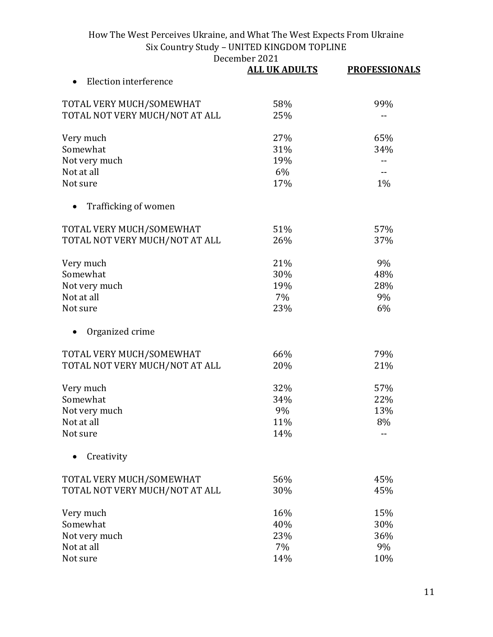December 2021<br>ALL JIK ADIILTS

|                                | <b>ALL UK ADULTS</b> | <b>PROFESSIONALS</b> |
|--------------------------------|----------------------|----------------------|
| Election interference          |                      |                      |
| TOTAL VERY MUCH/SOMEWHAT       | 58%                  | 99%                  |
| TOTAL NOT VERY MUCH/NOT AT ALL | 25%                  | --                   |
| Very much                      | 27%                  | 65%                  |
| Somewhat                       | 31%                  | 34%                  |
| Not very much                  | 19%                  |                      |
| Not at all                     | 6%                   |                      |
| Not sure                       | 17%                  | 1%                   |
| Trafficking of women           |                      |                      |
| TOTAL VERY MUCH/SOMEWHAT       | 51%                  | 57%                  |
| TOTAL NOT VERY MUCH/NOT AT ALL | 26%                  | 37%                  |
| Very much                      | 21%                  | 9%                   |
| Somewhat                       | 30%                  | 48%                  |
| Not very much                  | 19%                  | 28%                  |
| Not at all                     | 7%                   | 9%                   |
| Not sure                       | 23%                  | 6%                   |
| Organized crime                |                      |                      |
| TOTAL VERY MUCH/SOMEWHAT       | 66%                  | 79%                  |
| TOTAL NOT VERY MUCH/NOT AT ALL | 20%                  | 21%                  |
| Very much                      | 32%                  | 57%                  |
| Somewhat                       | 34%                  | 22%                  |
| Not very much                  | 9%                   | 13%                  |
| Not at all                     | 11%                  | 8%                   |
| Not sure                       | 14%                  |                      |
| Creativity                     |                      |                      |
| TOTAL VERY MUCH/SOMEWHAT       | 56%                  | 45%                  |
| TOTAL NOT VERY MUCH/NOT AT ALL | 30%                  | 45%                  |
| Very much                      | 16%                  | 15%                  |
| Somewhat                       | 40%                  | 30%                  |
| Not very much                  | 23%                  | 36%                  |
| Not at all                     | 7%                   | 9%                   |
| Not sure                       | 14%                  | 10%                  |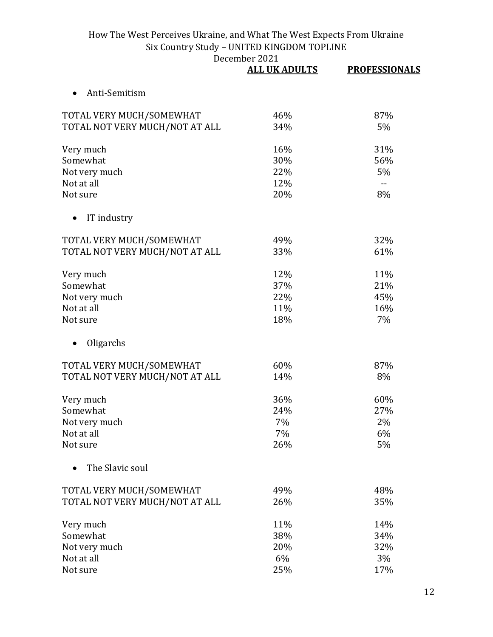|                                | <b>ALL UK ADULTS</b> | <b>PROFESSIONALS</b> |
|--------------------------------|----------------------|----------------------|
| Anti-Semitism                  |                      |                      |
| TOTAL VERY MUCH/SOMEWHAT       | 46%                  | 87%                  |
| TOTAL NOT VERY MUCH/NOT AT ALL | 34%                  | 5%                   |
| Very much                      | 16%                  | 31%                  |
| Somewhat                       | 30%                  | 56%                  |
| Not very much                  | 22%                  | 5%                   |
| Not at all                     | 12%                  | $\overline{a}$       |
| Not sure                       | 20%                  | 8%                   |
| IT industry                    |                      |                      |
| TOTAL VERY MUCH/SOMEWHAT       | 49%                  | 32%                  |
| TOTAL NOT VERY MUCH/NOT AT ALL | 33%                  | 61%                  |
| Very much                      | 12%                  | 11%                  |
| Somewhat                       | 37%                  | 21%                  |
| Not very much                  | 22%                  | 45%                  |
| Not at all                     | 11%                  | 16%                  |
| Not sure                       | 18%                  | 7%                   |
| Oligarchs                      |                      |                      |
| TOTAL VERY MUCH/SOMEWHAT       | 60%                  | 87%                  |
| TOTAL NOT VERY MUCH/NOT AT ALL | 14%                  | 8%                   |
| Very much                      | 36%                  | 60%                  |
| Somewhat                       | 24%                  | 27%                  |
| Not very much                  | 7%                   | 2%                   |
| Not at all                     | 7%                   | 6%                   |
| Not sure                       | 26%                  | 5%                   |
| The Slavic soul                |                      |                      |
| TOTAL VERY MUCH/SOMEWHAT       | 49%                  | 48%                  |
| TOTAL NOT VERY MUCH/NOT AT ALL | 26%                  | 35%                  |
| Very much                      | 11%                  | 14%                  |
| Somewhat                       | 38%                  | 34%                  |
| Not very much                  | 20%                  | 32%                  |
| Not at all                     | 6%                   | 3%                   |
| Not sure                       | 25%                  | 17%                  |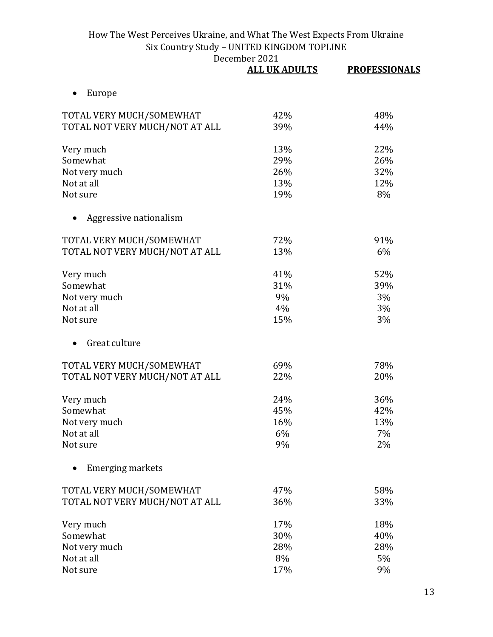|                                | <b>ALL UK ADULTS</b> | <b>PROFESSIONALS</b> |
|--------------------------------|----------------------|----------------------|
| Europe                         |                      |                      |
| TOTAL VERY MUCH/SOMEWHAT       | 42%                  | 48%                  |
| TOTAL NOT VERY MUCH/NOT AT ALL | 39%                  | 44%                  |
| Very much                      | 13%                  | 22%                  |
| Somewhat                       | 29%                  | 26%                  |
| Not very much                  | 26%                  | 32%                  |
| Not at all                     | 13%                  | 12%                  |
| Not sure                       | 19%                  | 8%                   |
| Aggressive nationalism         |                      |                      |
| TOTAL VERY MUCH/SOMEWHAT       | 72%                  | 91%                  |
| TOTAL NOT VERY MUCH/NOT AT ALL | 13%                  | 6%                   |
| Very much                      | 41%                  | 52%                  |
| Somewhat                       | 31%                  | 39%                  |
| Not very much                  | 9%                   | 3%                   |
| Not at all                     | 4%                   | 3%                   |
| Not sure                       | 15%                  | 3%                   |
| Great culture                  |                      |                      |
| TOTAL VERY MUCH/SOMEWHAT       | 69%                  | 78%                  |
| TOTAL NOT VERY MUCH/NOT AT ALL | 22%                  | 20%                  |
| Very much                      | 24%                  | 36%                  |
| Somewhat                       | 45%                  | 42%                  |
| Not very much                  | 16%                  | 13%                  |
| Not at all                     | 6%                   | 7%                   |
| Not sure                       | 9%                   | 2%                   |
| <b>Emerging markets</b>        |                      |                      |
| TOTAL VERY MUCH/SOMEWHAT       | 47%                  | 58%                  |
| TOTAL NOT VERY MUCH/NOT AT ALL | 36%                  | 33%                  |
| Very much                      | 17%                  | 18%                  |
| Somewhat                       | 30%                  | 40%                  |
| Not very much                  | 28%                  | 28%                  |
| Not at all                     | 8%                   | 5%                   |
| Not sure                       | 17%                  | 9%                   |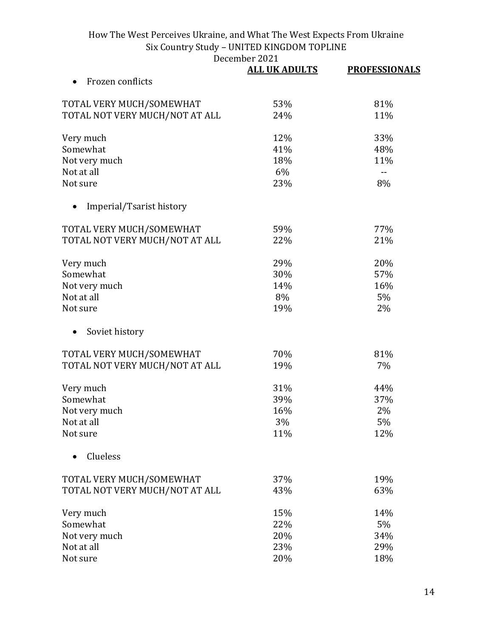| December 2021 |
|---------------|
|---------------|

|                                | UUMUUL LULL<br><b>ALL UK ADULTS</b> | <b>PROFESSIONALS</b> |
|--------------------------------|-------------------------------------|----------------------|
| Frozen conflicts               |                                     |                      |
| TOTAL VERY MUCH/SOMEWHAT       | 53%                                 | 81%                  |
| TOTAL NOT VERY MUCH/NOT AT ALL | 24%                                 | 11%                  |
| Very much                      | 12%                                 | 33%                  |
| Somewhat                       | 41%                                 | 48%                  |
| Not very much                  | 18%                                 | 11%                  |
| Not at all                     | 6%                                  | $\overline{a}$       |
| Not sure                       | 23%                                 | 8%                   |
| Imperial/Tsarist history       |                                     |                      |
| TOTAL VERY MUCH/SOMEWHAT       | 59%                                 | 77%                  |
| TOTAL NOT VERY MUCH/NOT AT ALL | 22%                                 | 21%                  |
| Very much                      | 29%                                 | 20%                  |
| Somewhat                       | 30%                                 | 57%                  |
| Not very much                  | 14%                                 | 16%                  |
| Not at all                     | 8%                                  | 5%                   |
| Not sure                       | 19%                                 | 2%                   |
| Soviet history                 |                                     |                      |
| TOTAL VERY MUCH/SOMEWHAT       | 70%                                 | 81%                  |
| TOTAL NOT VERY MUCH/NOT AT ALL | 19%                                 | 7%                   |
| Very much                      | 31%                                 | 44%                  |
| Somewhat                       | 39%                                 | 37%                  |
| Not very much                  | 16%                                 | 2%                   |
| Not at all                     | 3%                                  | 5%                   |
| Not sure                       | 11%                                 | 12%                  |
| Clueless                       |                                     |                      |
| TOTAL VERY MUCH/SOMEWHAT       | 37%                                 | 19%                  |
| TOTAL NOT VERY MUCH/NOT AT ALL | 43%                                 | 63%                  |
| Very much                      | 15%                                 | 14%                  |
| Somewhat                       | 22%                                 | 5%                   |
| Not very much                  | 20%                                 | 34%                  |
| Not at all                     | 23%                                 | 29%                  |
| Not sure                       | 20%                                 | 18%                  |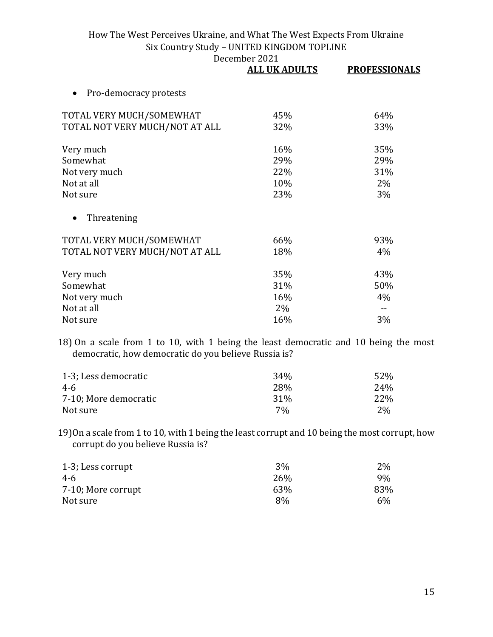|                                     | <b>ALL UK ADULTS</b> | <b>PROFESSIONALS</b> |
|-------------------------------------|----------------------|----------------------|
| Pro-democracy protests<br>$\bullet$ |                      |                      |
| TOTAL VERY MUCH/SOMEWHAT            | 45%                  | 64%                  |
| TOTAL NOT VERY MUCH/NOT AT ALL      | 32%                  | 33%                  |
| Very much                           | 16%                  | 35%                  |
| Somewhat                            | 29%                  | 29%                  |
| Not very much                       | 22%                  | 31%                  |
| Not at all                          | 10%                  | 2%                   |
| Not sure                            | 23%                  | 3%                   |
| Threatening<br>$\bullet$            |                      |                      |
| TOTAL VERY MUCH/SOMEWHAT            | 66%                  | 93%                  |
| TOTAL NOT VERY MUCH/NOT AT ALL      | 18%                  | 4%                   |
| Very much                           | 35%                  | 43%                  |
| Somewhat                            | 31%                  | 50%                  |
| Not very much                       | 16%                  | 4%                   |
| Not at all                          | 2%                   |                      |
| Not sure                            | 16%                  | 3%                   |

18) On a scale from 1 to 10, with 1 being the least democratic and 10 being the most democratic, how democratic do you believe Russia is?

| 1-3; Less democratic  | 34 <sub>%</sub> | 52%  |
|-----------------------|-----------------|------|
| 4-6                   | 28%             | 24%  |
| 7-10; More democratic | 31 <sup>%</sup> | 22\% |
| Not sure              | 7%              | 2%   |

19)On a scale from 1 to 10, with 1 being the least corrupt and 10 being the most corrupt, how corrupt do you believe Russia is?

| 1-3; Less corrupt  | 3%  | 2%  |
|--------------------|-----|-----|
| 4-6                | 26% | 9%  |
| 7-10; More corrupt | 63% | 83% |
| Not sure           | 8%  | 6%  |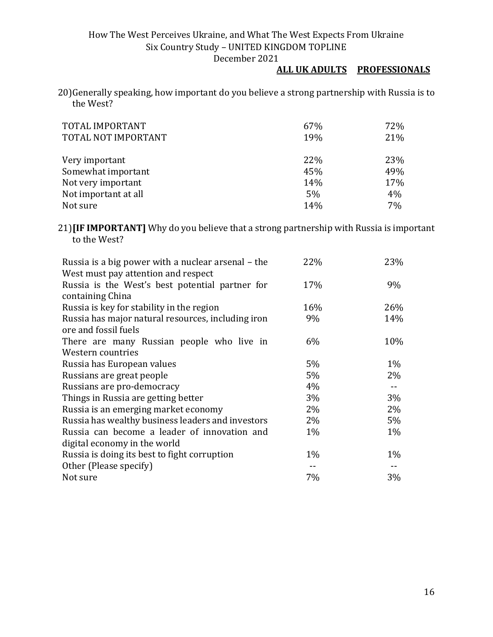#### **ALL UK ADULTS PROFESSIONALS**

20)Generally speaking, how important do you believe a strong partnership with Russia is to the West?

| TOTAL IMPORTANT<br>TOTAL NOT IMPORTANT | 67%<br>19% | 72%<br>21% |
|----------------------------------------|------------|------------|
| Very important                         | 22%        | 23%        |
| Somewhat important                     | 45%        | 49%        |
| Not very important                     | 14%        | 17%        |
| Not important at all                   | $5\%$      | 4%         |
| Not sure                               | 14%        | 7%         |

21)**[IF IMPORTANT]** Why do you believe that a strong partnership with Russia is important to the West?

| Russia is a big power with a nuclear arsenal – the | 22%   | 23%   |
|----------------------------------------------------|-------|-------|
| West must pay attention and respect                |       |       |
| Russia is the West's best potential partner for    | 17%   | 9%    |
| containing China                                   |       |       |
| Russia is key for stability in the region          | 16%   | 26%   |
| Russia has major natural resources, including iron | 9%    | 14%   |
| ore and fossil fuels                               |       |       |
| There are many Russian people who live in          | 6%    | 10%   |
| Western countries                                  |       |       |
| Russia has European values                         | $5\%$ | $1\%$ |
| Russians are great people                          | 5%    | 2%    |
| Russians are pro-democracy                         | 4%    | $- -$ |
| Things in Russia are getting better                | 3%    | 3%    |
| Russia is an emerging market economy               | 2%    | 2%    |
| Russia has wealthy business leaders and investors  | $2\%$ | 5%    |
| Russia can become a leader of innovation and       | $1\%$ | $1\%$ |
| digital economy in the world                       |       |       |
| Russia is doing its best to fight corruption       | $1\%$ | $1\%$ |
| Other (Please specify)                             |       |       |
| Not sure                                           | 7%    | 3%    |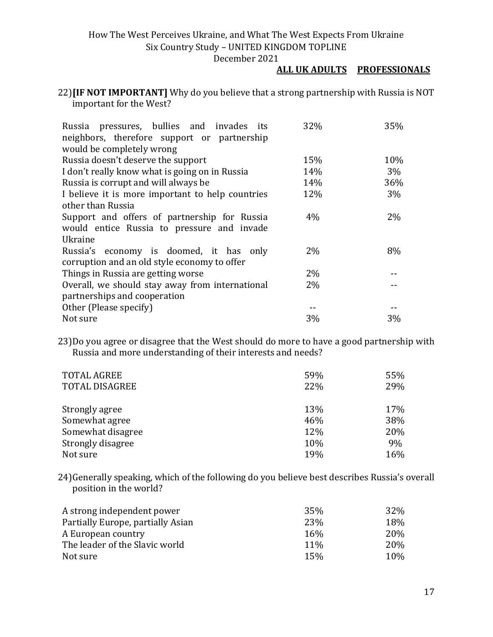#### **ALL UK ADULTS PROFESSIONALS**

#### 22)**[IF NOT IMPORTANT]** Why do you believe that a strong partnership with Russia is NOT important for the West?

| Russia pressures, bullies and invades its        | 32%   | 35%   |
|--------------------------------------------------|-------|-------|
| neighbors, therefore support or partnership      |       |       |
| would be completely wrong                        |       |       |
| Russia doesn't deserve the support               | 15%   | 10%   |
| I don't really know what is going on in Russia   | 14%   | $3\%$ |
| Russia is corrupt and will always be             | 14%   | 36%   |
| I believe it is more important to help countries | 12%   | 3%    |
| other than Russia                                |       |       |
| Support and offers of partnership for Russia     | $4\%$ | $2\%$ |
| would entice Russia to pressure and invade       |       |       |
| Ukraine                                          |       |       |
| Russia's economy is doomed, it has only          | $2\%$ | 8%    |
| corruption and an old style economy to offer     |       |       |
| Things in Russia are getting worse               | $2\%$ |       |
| Overall, we should stay away from international  | $2\%$ |       |
| partnerships and cooperation                     |       |       |
| Other (Please specify)                           |       |       |
| Not sure                                         | 3%    | 3%    |

23)Do you agree or disagree that the West should do more to have a good partnership with Russia and more understanding of their interests and needs?

| <b>TOTAL AGREE</b>    | 59% | 55% |
|-----------------------|-----|-----|
| <b>TOTAL DISAGREE</b> | 22% | 29% |
|                       |     |     |
| Strongly agree        | 13% | 17% |
| Somewhat agree        | 46% | 38% |
| Somewhat disagree     | 12% | 20% |
| Strongly disagree     | 10% | 9%  |
| Not sure              | 19% | 16% |

24)Generally speaking, which of the following do you believe best describes Russia's overall position in the world?

| A strong independent power        | 35%        | 32\% |
|-----------------------------------|------------|------|
| Partially Europe, partially Asian | 23%        | 18%  |
| A European country                | <b>16%</b> | 20%  |
| The leader of the Slavic world    | 11%        | 20%  |
| Not sure                          | 15%        | 10%  |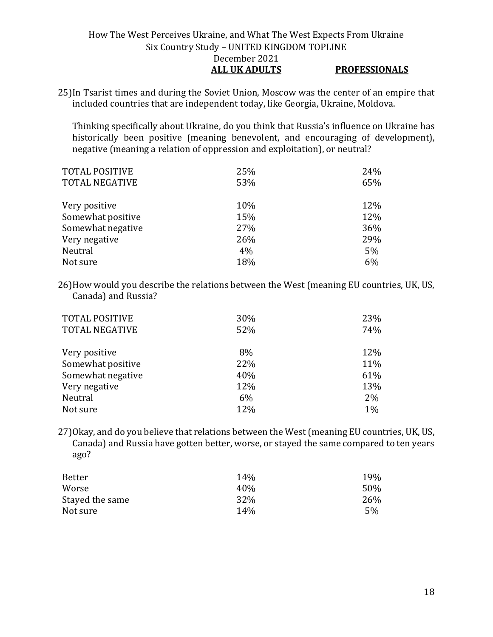#### How The West Perceives Ukraine, and What The West Expects From Ukraine Six Country Study – UNITED KINGDOM TOPLINE December 2021 **ALL UK ADULTS PROFESSIONALS**

25)In Tsarist times and during the Soviet Union, Moscow was the center of an empire that included countries that are independent today, like Georgia, Ukraine, Moldova.

Thinking specifically about Ukraine, do you think that Russia's influence on Ukraine has historically been positive (meaning benevolent, and encouraging of development), negative (meaning a relation of oppression and exploitation), or neutral?

| 25% | 24% |
|-----|-----|
| 53% | 65% |
|     |     |
| 10% | 12% |
| 15% | 12% |
| 27% | 36% |
| 26% | 29% |
| 4%  | 5%  |
| 18% | 6%  |
|     |     |

26)How would you describe the relations between the West (meaning EU countries, UK, US, Canada) and Russia?

| <b>TOTAL POSITIVE</b><br><b>TOTAL NEGATIVE</b> | 30%<br>52% | 23%<br>74% |
|------------------------------------------------|------------|------------|
| Very positive                                  | 8%         | 12%        |
| Somewhat positive                              | 22%        | 11%        |
| Somewhat negative                              | 40%        | 61%        |
| Very negative                                  | 12%        | 13%        |
| Neutral                                        | 6%         | 2%         |
| Not sure                                       | 12%        | $1\%$      |

27)Okay, and do you believe that relations between the West (meaning EU countries, UK, US, Canada) and Russia have gotten better, worse, or stayed the same compared to ten years ago?

| Better          | 14%             | 19% |
|-----------------|-----------------|-----|
| Worse           | 40\%            | 50% |
| Stayed the same | 32%             | 26% |
| Not sure        | 14 <sub>%</sub> | 5%  |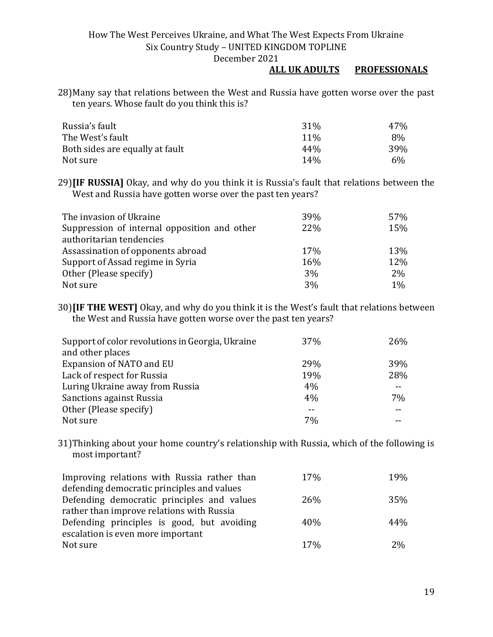#### **ALL UK ADULTS PROFESSIONALS**

28)Many say that relations between the West and Russia have gotten worse over the past ten years. Whose fault do you think this is?

| Russia's fault                  | 31 <sup>%</sup> | 47% |
|---------------------------------|-----------------|-----|
| The West's fault                | 11 <sup>%</sup> | 8%  |
| Both sides are equally at fault | 44%             | 39% |
| Not sure                        | 14%             | 6%  |

29)**[IF RUSSIA]** Okay, and why do you think it is Russia's fault that relations between the West and Russia have gotten worse over the past ten years?

| The invasion of Ukraine                      | 39% | 57%   |
|----------------------------------------------|-----|-------|
| Suppression of internal opposition and other | 22% | 15%   |
| authoritarian tendencies                     |     |       |
| Assassination of opponents abroad            | 17% | 13%   |
| Support of Assad regime in Syria             | 16% | 12%   |
| Other (Please specify)                       | 3%  | $2\%$ |
| Not sure                                     | 3%  | 1%    |

30)**[IF THE WEST]** Okay, and why do you think it is the West's fault that relations between the West and Russia have gotten worse over the past ten years?

| Support of color revolutions in Georgia, Ukraine | 37% | 26% |
|--------------------------------------------------|-----|-----|
| and other places                                 |     |     |
| Expansion of NATO and EU                         | 29% | 39% |
| Lack of respect for Russia                       | 19% | 28% |
| Luring Ukraine away from Russia                  | 4%  |     |
| <b>Sanctions against Russia</b>                  | 4%  | 7%  |
| Other (Please specify)                           |     | --  |
| Not sure                                         | 7%  |     |

31)Thinking about your home country's relationship with Russia, which of the following is most important?

| Improving relations with Russia rather than | 17%        | 19% |
|---------------------------------------------|------------|-----|
| defending democratic principles and values  |            |     |
| Defending democratic principles and values  | <b>26%</b> | 35% |
| rather than improve relations with Russia   |            |     |
| Defending principles is good, but avoiding  | 40%        | 44% |
| escalation is even more important           |            |     |
| Not sure                                    | 17%        | 2%  |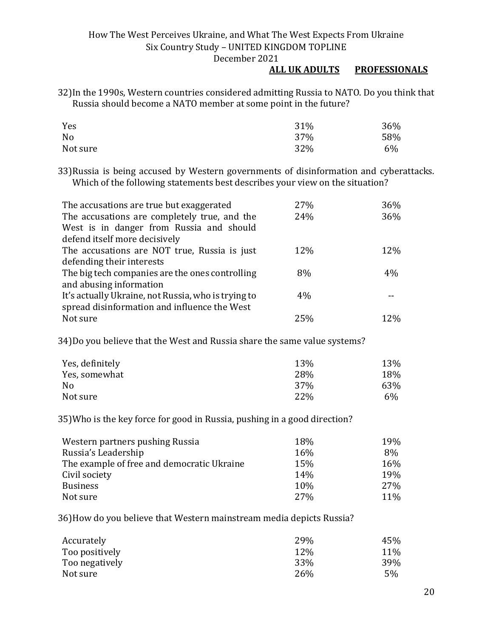#### **ALL UK ADULTS PROFESSIONALS**

32)In the 1990s, Western countries considered admitting Russia to NATO. Do you think that Russia should become a NATO member at some point in the future?

| Yes      | 31% | 36% |
|----------|-----|-----|
| No       | 37% | 58% |
| Not sure | 32% | 6%  |

33)Russia is being accused by Western governments of disinformation and cyberattacks. Which of the following statements best describes your view on the situation?

| The accusations are true but exaggerated            | 27%  | 36%   |
|-----------------------------------------------------|------|-------|
| The accusations are completely true, and the        | 24%  | 36%   |
| West is in danger from Russia and should            |      |       |
| defend itself more decisively                       |      |       |
| The accusations are NOT true, Russia is just        | 12\% | 12%   |
| defending their interests                           |      |       |
| The big tech companies are the ones controlling     | 8%   | $4\%$ |
| and abusing information                             |      |       |
| It's actually Ukraine, not Russia, who is trying to | 4%   |       |
| spread disinformation and influence the West        |      |       |
| Not sure                                            | 25%  | 12%   |

34)Do you believe that the West and Russia share the same value systems?

| Yes, definitely | 13%        | 13%   |
|-----------------|------------|-------|
| Yes, somewhat   | 28%        | 18%   |
| No              | <b>37%</b> | 63%   |
| Not sure        | 22%        | $6\%$ |

35)Who is the key force for good in Russia, pushing in a good direction?

| Western partners pushing Russia            | 18%        | 19% |
|--------------------------------------------|------------|-----|
| Russia's Leadership                        | 16%        | 8%  |
| The example of free and democratic Ukraine | 15%        | 16% |
| Civil society                              | 14%        | 19% |
| <b>Business</b>                            | 10%        | 27% |
| Not sure                                   | <b>27%</b> | 11% |

36)How do you believe that Western mainstream media depicts Russia?

| Accurately     | 29% | 45%        |
|----------------|-----|------------|
| Too positively | 12% | <b>11%</b> |
| Too negatively | 33% | 39%        |
| Not sure       | 26% | 5%         |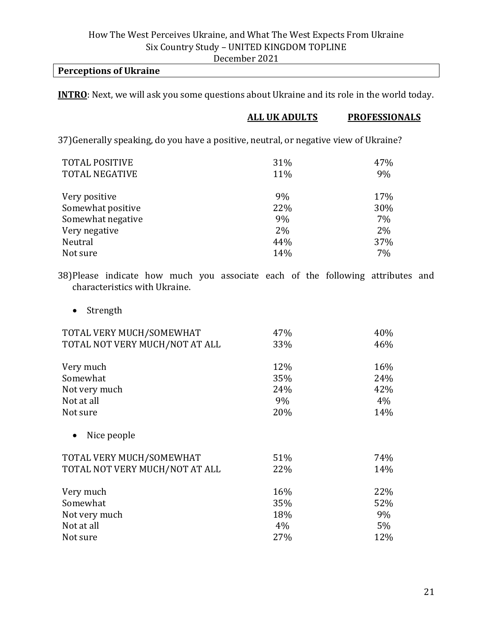#### **Perceptions of Ukraine**

**INTRO**: Next, we will ask you some questions about Ukraine and its role in the world today.

#### **ALL UK ADULTS PROFESSIONALS**

37)Generally speaking, do you have a positive, neutral, or negative view of Ukraine?

| <b>TOTAL POSITIVE</b><br><b>TOTAL NEGATIVE</b> | 31%<br>11% | 47%<br>9% |
|------------------------------------------------|------------|-----------|
| Very positive                                  | 9%         | 17%       |
| Somewhat positive                              | 22%        | 30%       |
| Somewhat negative                              | 9%         | 7%        |
| Very negative                                  | 2%         | 2%        |
| Neutral                                        | 44%        | 37%       |
| Not sure                                       | 14%        | 7%        |

38)Please indicate how much you associate each of the following attributes and characteristics with Ukraine.

• Strength

| TOTAL VERY MUCH/SOMEWHAT       | 47% | 40%   |
|--------------------------------|-----|-------|
| TOTAL NOT VERY MUCH/NOT AT ALL | 33% | 46%   |
| Very much                      | 12% | 16%   |
| Somewhat                       | 35% | 24%   |
| Not very much                  | 24% | 42%   |
| Not at all                     | 9%  | 4%    |
| Not sure                       | 20% | 14%   |
|                                |     |       |
| Nice people                    |     |       |
| TOTAL VERY MUCH/SOMEWHAT       | 51% | 74%   |
| TOTAL NOT VERY MUCH/NOT AT ALL | 22% | 14%   |
| Very much                      | 16% | 22%   |
| Somewhat                       | 35% | 52%   |
| Not very much                  | 18% | 9%    |
| Not at all                     | 4%  | $5\%$ |
| Not sure                       | 27% | 12%   |
|                                |     |       |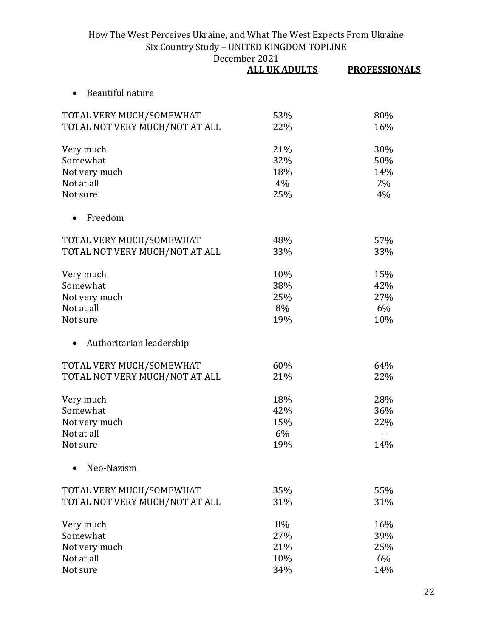|                                | <b>ALL UK ADULTS</b> | <b>PROFESSIONALS</b> |
|--------------------------------|----------------------|----------------------|
| Beautiful nature               |                      |                      |
| TOTAL VERY MUCH/SOMEWHAT       | 53%                  | 80%                  |
| TOTAL NOT VERY MUCH/NOT AT ALL | 22%                  | 16%                  |
| Very much                      | 21%                  | 30%                  |
| Somewhat                       | 32%                  | 50%                  |
| Not very much                  | 18%                  | 14%                  |
| Not at all                     | 4%                   | 2%                   |
| Not sure                       | 25%                  | 4%                   |
| Freedom                        |                      |                      |
| TOTAL VERY MUCH/SOMEWHAT       | 48%                  | 57%                  |
| TOTAL NOT VERY MUCH/NOT AT ALL | 33%                  | 33%                  |
| Very much                      | 10%                  | 15%                  |
| Somewhat                       | 38%                  | 42%                  |
| Not very much                  | 25%                  | 27%                  |
| Not at all                     | 8%                   | 6%                   |
| Not sure                       | 19%                  | 10%                  |
| Authoritarian leadership       |                      |                      |
| TOTAL VERY MUCH/SOMEWHAT       | 60%                  | 64%                  |
| TOTAL NOT VERY MUCH/NOT AT ALL | 21%                  | 22%                  |
| Very much                      | 18%                  | 28%                  |
| Somewhat                       | 42%                  | 36%                  |
| Not very much                  | 15%                  | 22%                  |
| Not at all                     | 6%                   |                      |
| Not sure                       | 19%                  | 14%                  |
| Neo-Nazism                     |                      |                      |
| TOTAL VERY MUCH/SOMEWHAT       | 35%                  | 55%                  |
| TOTAL NOT VERY MUCH/NOT AT ALL | 31%                  | 31%                  |
| Very much                      | 8%                   | 16%                  |
| Somewhat                       | 27%                  | 39%                  |
| Not very much                  | 21%                  | 25%                  |
| Not at all                     | 10%                  | 6%                   |
| Not sure                       | 34%                  | 14%                  |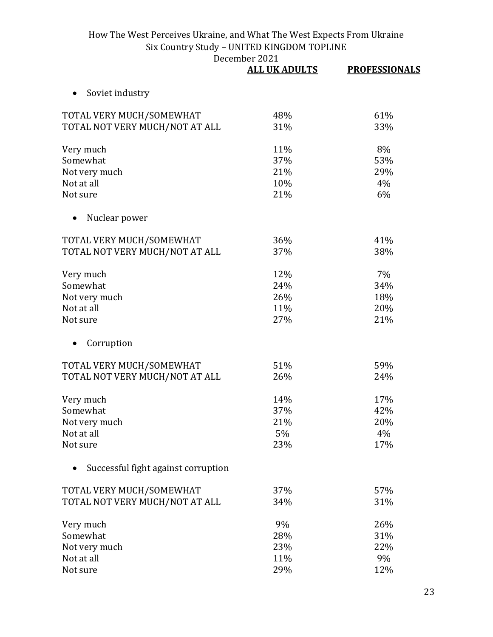|                                     | <b>ALL UK ADULTS</b> | <b>PROFESSIONALS</b> |
|-------------------------------------|----------------------|----------------------|
| Soviet industry                     |                      |                      |
| TOTAL VERY MUCH/SOMEWHAT            | 48%                  | 61%                  |
| TOTAL NOT VERY MUCH/NOT AT ALL      | 31%                  | 33%                  |
| Very much                           | 11%                  | 8%                   |
| Somewhat                            | 37%                  | 53%                  |
| Not very much                       | 21%                  | 29%                  |
| Not at all                          | 10%                  | 4%                   |
| Not sure                            | 21%                  | 6%                   |
| Nuclear power                       |                      |                      |
| TOTAL VERY MUCH/SOMEWHAT            | 36%                  | 41%                  |
| TOTAL NOT VERY MUCH/NOT AT ALL      | 37%                  | 38%                  |
| Very much                           | 12%                  | 7%                   |
| Somewhat                            | 24%                  | 34%                  |
| Not very much                       | 26%                  | 18%                  |
| Not at all                          | 11%                  | 20%                  |
| Not sure                            | 27%                  | 21%                  |
| Corruption                          |                      |                      |
| TOTAL VERY MUCH/SOMEWHAT            | 51%                  | 59%                  |
| TOTAL NOT VERY MUCH/NOT AT ALL      | 26%                  | 24%                  |
| Very much                           | 14%                  | 17%                  |
| Somewhat                            | 37%                  | 42%                  |
| Not very much                       | 21%                  | 20%                  |
| Not at all                          | 5%                   | 4%                   |
| Not sure                            | 23%                  | 17%                  |
| Successful fight against corruption |                      |                      |
| TOTAL VERY MUCH/SOMEWHAT            | 37%                  | 57%                  |
| TOTAL NOT VERY MUCH/NOT AT ALL      | 34%                  | 31%                  |
| Very much                           | 9%                   | 26%                  |
| Somewhat                            | 28%                  | 31%                  |
| Not very much                       | 23%                  | 22%                  |
| Not at all                          | 11%                  | 9%                   |
| Not sure                            | 29%                  | 12%                  |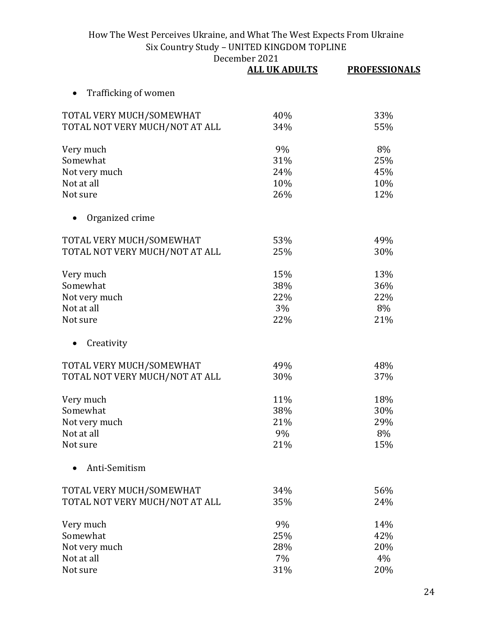|                                | <b>ALL UK ADULTS</b> | <b>PROFESSIONALS</b> |
|--------------------------------|----------------------|----------------------|
| Trafficking of women           |                      |                      |
| TOTAL VERY MUCH/SOMEWHAT       | 40%                  | 33%                  |
| TOTAL NOT VERY MUCH/NOT AT ALL | 34%                  | 55%                  |
| Very much                      | 9%                   | 8%                   |
| Somewhat                       | 31%                  | 25%                  |
| Not very much                  | 24%                  | 45%                  |
| Not at all                     | 10%                  | 10%                  |
| Not sure                       | 26%                  | 12%                  |
| Organized crime                |                      |                      |
| TOTAL VERY MUCH/SOMEWHAT       | 53%                  | 49%                  |
| TOTAL NOT VERY MUCH/NOT AT ALL | 25%                  | 30%                  |
| Very much                      | 15%                  | 13%                  |
| Somewhat                       | 38%                  | 36%                  |
| Not very much                  | 22%                  | 22%                  |
| Not at all                     | 3%                   | 8%                   |
| Not sure                       | 22%                  | 21%                  |
| Creativity                     |                      |                      |
| TOTAL VERY MUCH/SOMEWHAT       | 49%                  | 48%                  |
| TOTAL NOT VERY MUCH/NOT AT ALL | 30%                  | 37%                  |
| Very much                      | 11%                  | 18%                  |
| Somewhat                       | 38%                  | 30%                  |
| Not very much                  | 21%                  | 29%                  |
| Not at all                     | 9%                   | 8%                   |
| Not sure                       | 21%                  | 15%                  |
| Anti-Semitism                  |                      |                      |
| TOTAL VERY MUCH/SOMEWHAT       | 34%                  | 56%                  |
| TOTAL NOT VERY MUCH/NOT AT ALL | 35%                  | 24%                  |
| Very much                      | 9%                   | 14%                  |
| Somewhat                       | 25%                  | 42%                  |
| Not very much                  | 28%                  | 20%                  |
| Not at all                     | 7%                   | 4%                   |
| Not sure                       | 31%                  | 20%                  |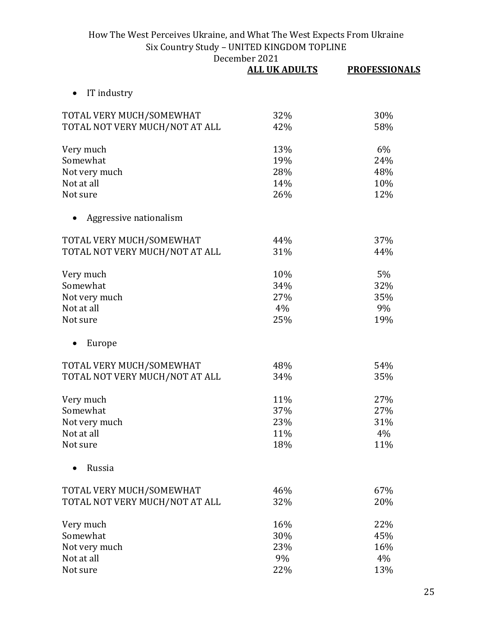|                                | <b>ALL UK ADULTS</b> | <b>PROFESSIONALS</b> |
|--------------------------------|----------------------|----------------------|
| IT industry                    |                      |                      |
| TOTAL VERY MUCH/SOMEWHAT       | 32%                  | 30%                  |
| TOTAL NOT VERY MUCH/NOT AT ALL | 42%                  | 58%                  |
| Very much                      | 13%                  | 6%                   |
| Somewhat                       | 19%                  | 24%                  |
| Not very much                  | 28%                  | 48%                  |
| Not at all                     | 14%                  | 10%                  |
| Not sure                       | 26%                  | 12%                  |
| Aggressive nationalism         |                      |                      |
| TOTAL VERY MUCH/SOMEWHAT       | 44%                  | 37%                  |
| TOTAL NOT VERY MUCH/NOT AT ALL | 31%                  | 44%                  |
| Very much                      | 10%                  | 5%                   |
| Somewhat                       | 34%                  | 32%                  |
| Not very much                  | 27%                  | 35%                  |
| Not at all                     | 4%                   | 9%                   |
| Not sure                       | 25%                  | 19%                  |
| Europe                         |                      |                      |
| TOTAL VERY MUCH/SOMEWHAT       | 48%                  | 54%                  |
| TOTAL NOT VERY MUCH/NOT AT ALL | 34%                  | 35%                  |
| Very much                      | 11%                  | 27%                  |
| Somewhat                       | 37%                  | 27%                  |
| Not very much                  | 23%                  | 31%                  |
| Not at all                     | 11%                  | 4%                   |
| Not sure                       | 18%                  | 11%                  |
| Russia                         |                      |                      |
| TOTAL VERY MUCH/SOMEWHAT       | 46%                  | 67%                  |
| TOTAL NOT VERY MUCH/NOT AT ALL | 32%                  | 20%                  |
| Very much                      | 16%                  | 22%                  |
| Somewhat                       | 30%                  | 45%                  |
| Not very much                  | 23%                  | 16%                  |
| Not at all                     | 9%                   | 4%                   |
| Not sure                       | 22%                  | 13%                  |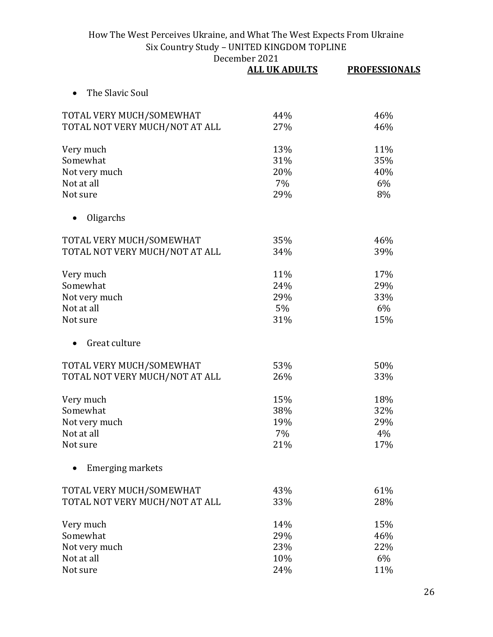|                                | <b>ALL UK ADULTS</b> | <b>PROFESSIONALS</b> |
|--------------------------------|----------------------|----------------------|
| The Slavic Soul                |                      |                      |
| TOTAL VERY MUCH/SOMEWHAT       | 44%                  | 46%                  |
| TOTAL NOT VERY MUCH/NOT AT ALL | 27%                  | 46%                  |
| Very much                      | 13%                  | 11%                  |
| Somewhat                       | 31%                  | 35%                  |
| Not very much                  | 20%                  | 40%                  |
| Not at all                     | 7%                   | 6%                   |
| Not sure                       | 29%                  | 8%                   |
| Oligarchs                      |                      |                      |
| TOTAL VERY MUCH/SOMEWHAT       | 35%                  | 46%                  |
| TOTAL NOT VERY MUCH/NOT AT ALL | 34%                  | 39%                  |
| Very much                      | 11%                  | 17%                  |
| Somewhat                       | 24%                  | 29%                  |
| Not very much                  | 29%                  | 33%                  |
| Not at all                     | 5%                   | 6%                   |
| Not sure                       | 31%                  | 15%                  |
| Great culture                  |                      |                      |
| TOTAL VERY MUCH/SOMEWHAT       | 53%                  | 50%                  |
| TOTAL NOT VERY MUCH/NOT AT ALL | 26%                  | 33%                  |
| Very much                      | 15%                  | 18%                  |
| Somewhat                       | 38%                  | 32%                  |
| Not very much                  | 19%                  | 29%                  |
| Not at all                     | 7%                   | 4%                   |
| Not sure                       | 21%                  | 17%                  |
| <b>Emerging markets</b>        |                      |                      |
| TOTAL VERY MUCH/SOMEWHAT       | 43%                  | 61%                  |
| TOTAL NOT VERY MUCH/NOT AT ALL | 33%                  | 28%                  |
| Very much                      | 14%                  | 15%                  |
| Somewhat                       | 29%                  | 46%                  |
| Not very much                  | 23%                  | 22%                  |
| Not at all                     | 10%                  | 6%                   |
| Not sure                       | 24%                  | 11%                  |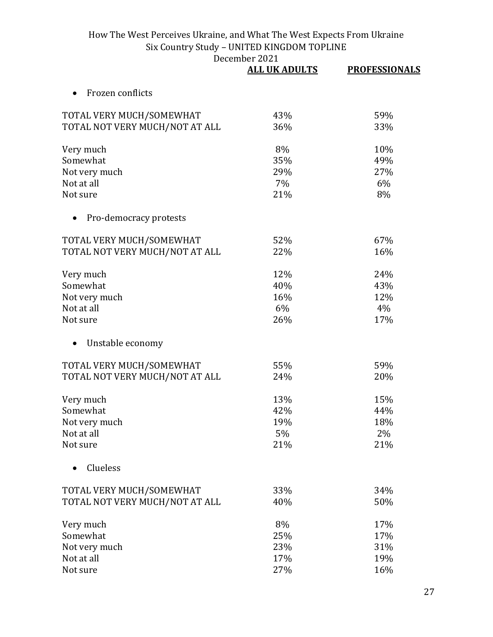|                                | <b>ALL UK ADULTS</b> | <b>PROFESSIONALS</b> |
|--------------------------------|----------------------|----------------------|
| Frozen conflicts               |                      |                      |
| TOTAL VERY MUCH/SOMEWHAT       | 43%                  | 59%                  |
| TOTAL NOT VERY MUCH/NOT AT ALL | 36%                  | 33%                  |
| Very much                      | 8%                   | 10%                  |
| Somewhat                       | 35%                  | 49%                  |
| Not very much                  | 29%                  | 27%                  |
| Not at all                     | 7%                   | 6%                   |
| Not sure                       | 21%                  | 8%                   |
| Pro-democracy protests         |                      |                      |
| TOTAL VERY MUCH/SOMEWHAT       | 52%                  | 67%                  |
| TOTAL NOT VERY MUCH/NOT AT ALL | 22%                  | 16%                  |
| Very much                      | 12%                  | 24%                  |
| Somewhat                       | 40%                  | 43%                  |
| Not very much                  | 16%                  | 12%                  |
| Not at all                     | 6%                   | 4%                   |
| Not sure                       | 26%                  | 17%                  |
| Unstable economy               |                      |                      |
| TOTAL VERY MUCH/SOMEWHAT       | 55%                  | 59%                  |
| TOTAL NOT VERY MUCH/NOT AT ALL | 24%                  | 20%                  |
| Very much                      | 13%                  | 15%                  |
| Somewhat                       | 42%                  | 44%                  |
| Not very much                  | 19%                  | 18%                  |
| Not at all                     | 5%                   | $2\%$                |
| Not sure                       | 21%                  | 21%                  |
| Clueless                       |                      |                      |
| TOTAL VERY MUCH/SOMEWHAT       | 33%                  | 34%                  |
| TOTAL NOT VERY MUCH/NOT AT ALL | 40%                  | 50%                  |
| Very much                      | 8%                   | 17%                  |
| Somewhat                       | 25%                  | 17%                  |
| Not very much                  | 23%                  | 31%                  |
| Not at all                     | 17%                  | 19%                  |
| Not sure                       | 27%                  | 16%                  |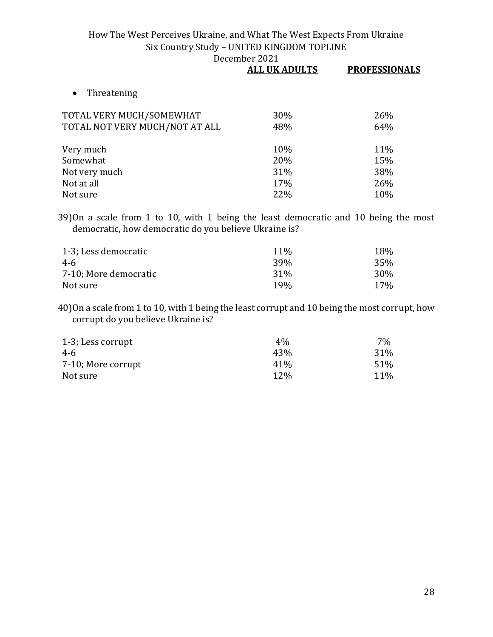| 30% | 26% |
|-----|-----|
| 48% | 64% |
| 10% | 11% |
| 20% | 15% |
| 31% | 38% |
| 17% | 26% |
| 22% | 10% |
|     |     |

39)On a scale from 1 to 10, with 1 being the least democratic and 10 being the most democratic, how democratic do you believe Ukraine is?

| 1-3; Less democratic  | 11 <sub>%</sub> | 18% |
|-----------------------|-----------------|-----|
| 4-6                   | 39 <sub>%</sub> | 35% |
| 7-10; More democratic | 31 <sup>%</sup> | 30% |
| Not sure              | 19 <sub>%</sub> | 17% |

40)On a scale from 1 to 10, with 1 being the least corrupt and 10 being the most corrupt, how corrupt do you believe Ukraine is?

| 1-3; Less corrupt  | $4\%$ | $7\%$ |
|--------------------|-------|-------|
| 4-6                | 43%   | 31%   |
| 7-10; More corrupt | 41%   | 51%   |
| Not sure           | 12%   | 11%   |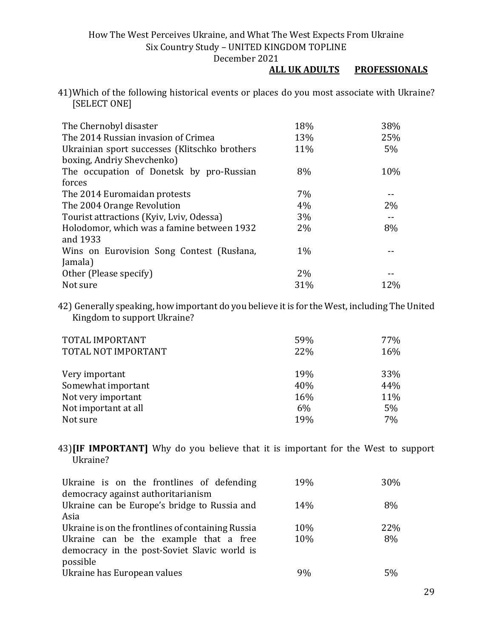December 2021

#### **ALL UK ADULTS PROFESSIONALS**

41)Which of the following historical events or places do you most associate with Ukraine? [SELECT ONE]

| The Chernobyl disaster                        | 18%   | 38%   |
|-----------------------------------------------|-------|-------|
| The 2014 Russian invasion of Crimea           | 13%   | 25%   |
| Ukrainian sport successes (Klitschko brothers | 11%   | 5%    |
| boxing, Andriy Shevchenko)                    |       |       |
| The occupation of Donetsk by pro-Russian      | 8%    | 10%   |
| forces                                        |       |       |
| The 2014 Euromaidan protests                  | 7%    |       |
| The 2004 Orange Revolution                    | 4%    | $2\%$ |
| Tourist attractions (Kyiv, Lviv, Odessa)      | 3%    |       |
| Holodomor, which was a famine between 1932    | 2%    | 8%    |
| and 1933                                      |       |       |
| Wins on Eurovision Song Contest (Rusłana,     | $1\%$ |       |
| Jamala)                                       |       |       |
| Other (Please specify)                        | 2%    |       |
| Not sure                                      | 31%   | 12%   |

42) Generally speaking, how important do you believe it is for the West, including The United Kingdom to support Ukraine?

| TOTAL IMPORTANT<br>TOTAL NOT IMPORTANT | 59%<br>22% | 77%<br>16% |
|----------------------------------------|------------|------------|
| Very important                         | 19%        | 33%        |
| Somewhat important                     | 40%        | 44%        |
| Not very important                     | 16%        | 11%        |
| Not important at all                   | 6%         | $5\%$      |
| Not sure                               | 19%        | 7%         |

43)**[IF IMPORTANT]** Why do you believe that it is important for the West to support Ukraine?

| Ukraine is on the frontlines of defending<br>democracy against authoritarianism | 19% | 30% |
|---------------------------------------------------------------------------------|-----|-----|
|                                                                                 |     |     |
| Ukraine can be Europe's bridge to Russia and                                    | 14% | 8%  |
| Asia                                                                            |     |     |
| Ukraine is on the frontlines of containing Russia                               | 10% | 22% |
| Ukraine can be the example that a free                                          | 10% | 8%  |
| democracy in the post-Soviet Slavic world is                                    |     |     |
| possible                                                                        |     |     |
| Ukraine has European values                                                     | 9%  | 5%  |
|                                                                                 |     |     |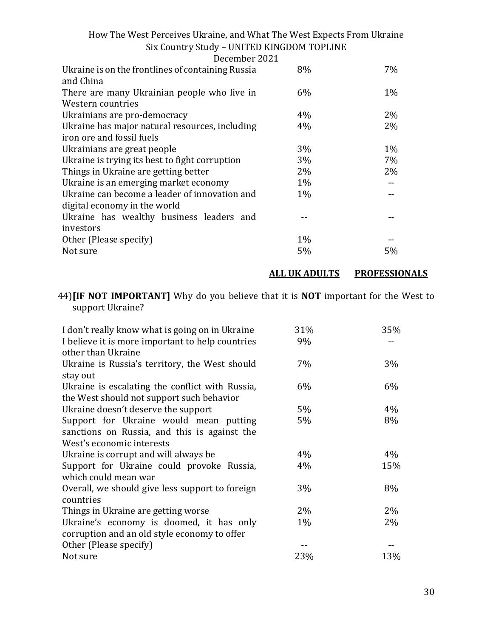| December 2021                                                  |       |       |
|----------------------------------------------------------------|-------|-------|
| Ukraine is on the frontlines of containing Russia<br>and China | 8%    | 7%    |
| There are many Ukrainian people who live in                    | $6\%$ | $1\%$ |
| Western countries                                              |       |       |
| Ukrainians are pro-democracy                                   | 4%    | $2\%$ |
| Ukraine has major natural resources, including                 | 4%    | $2\%$ |
| iron ore and fossil fuels                                      |       |       |
| Ukrainians are great people                                    | 3%    | $1\%$ |
| Ukraine is trying its best to fight corruption                 | 3%    | 7%    |
| Things in Ukraine are getting better                           | $2\%$ | $2\%$ |
| Ukraine is an emerging market economy                          | $1\%$ |       |
| Ukraine can become a leader of innovation and                  | $1\%$ |       |
| digital economy in the world                                   |       |       |
| Ukraine has wealthy business leaders and                       |       |       |
| investors                                                      |       |       |
| Other (Please specify)                                         | $1\%$ |       |
| Not sure                                                       | 5%    | 5%    |
|                                                                |       |       |

**ALL UK ADULTS PROFESSIONALS**

44)**[IF NOT IMPORTANT]** Why do you believe that it is **NOT** important for the West to support Ukraine?

| I don't really know what is going on in Ukraine<br>I believe it is more important to help countries<br>other than Ukraine | 31%<br>9% | 35%   |
|---------------------------------------------------------------------------------------------------------------------------|-----------|-------|
| Ukraine is Russia's territory, the West should<br>stay out                                                                | 7%        | 3%    |
| Ukraine is escalating the conflict with Russia,<br>the West should not support such behavior                              | $6\%$     | 6%    |
| Ukraine doesn't deserve the support                                                                                       | $5\%$     | 4%    |
| Support for Ukraine would mean putting<br>sanctions on Russia, and this is against the<br>West's economic interests       | $5\%$     | 8%    |
| Ukraine is corrupt and will always be                                                                                     | $4\%$     | 4%    |
| Support for Ukraine could provoke Russia,<br>which could mean war                                                         | $4\%$     | 15%   |
| Overall, we should give less support to foreign<br>countries                                                              | 3%        | 8%    |
| Things in Ukraine are getting worse                                                                                       | 2%        | 2%    |
| Ukraine's economy is doomed, it has only<br>corruption and an old style economy to offer                                  | $1\%$     | $2\%$ |
| Other (Please specify)                                                                                                    |           |       |
| Not sure                                                                                                                  | 23%       | 13%   |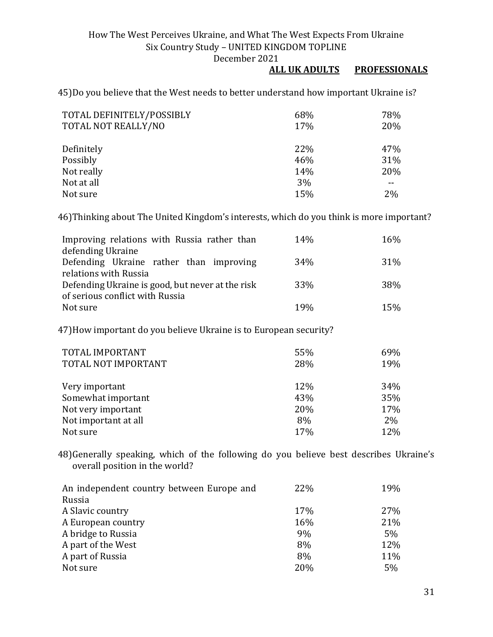#### **ALL UK ADULTS PROFESSIONALS**

45)Do you believe that the West needs to better understand how important Ukraine is?

| TOTAL DEFINITELY/POSSIBLY | 68% | 78% |
|---------------------------|-----|-----|
| TOTAL NOT REALLY/NO       | 17% | 20% |
|                           |     |     |
| Definitely                | 22% | 47% |
| Possibly                  | 46% | 31% |
| Not really                | 14% | 20% |
| Not at all                | 3%  |     |
| Not sure                  | 15% | 2%  |

46)Thinking about The United Kingdom's interests, which do you think is more important?

| Improving relations with Russia rather than      | 14% | 16% |
|--------------------------------------------------|-----|-----|
| defending Ukraine                                |     |     |
| Defending Ukraine rather than improving          | 34% | 31% |
| relations with Russia                            |     |     |
| Defending Ukraine is good, but never at the risk | 33% | 38% |
| of serious conflict with Russia                  |     |     |
| Not sure                                         | 19% | 15% |

47)How important do you believe Ukraine is to European security?

| TOTAL IMPORTANT      | 55% | 69%   |
|----------------------|-----|-------|
| TOTAL NOT IMPORTANT  | 28% | 19%   |
|                      |     |       |
| Very important       | 12% | 34%   |
| Somewhat important   | 43% | 35%   |
| Not very important   | 20% | 17%   |
| Not important at all | 8%  | $2\%$ |
| Not sure             | 17% | 12%   |

48)Generally speaking, which of the following do you believe best describes Ukraine's overall position in the world?

| An independent country between Europe and | 22% | 19% |
|-------------------------------------------|-----|-----|
| Russia                                    |     |     |
| A Slavic country                          | 17% | 27% |
| A European country                        | 16% | 21% |
| A bridge to Russia                        | 9%  | 5%  |
| A part of the West                        | 8%  | 12% |
| A part of Russia                          | 8%  | 11% |
| Not sure                                  | 20% | 5%  |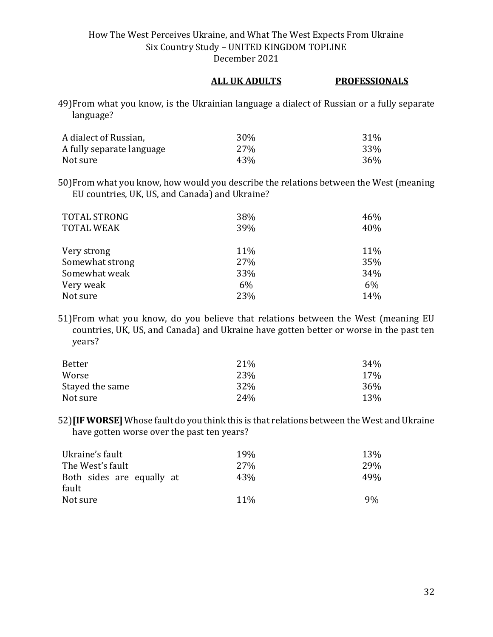#### **ALL UK ADULTS PROFESSIONALS**

49)From what you know, is the Ukrainian language a dialect of Russian or a fully separate language?

| A dialect of Russian,     | 30% | 31% |
|---------------------------|-----|-----|
| A fully separate language | 27% | 33% |
| Not sure                  | 43% | 36% |

50)From what you know, how would you describe the relations between the West (meaning EU countries, UK, US, and Canada) and Ukraine?

| <b>TOTAL STRONG</b> | 38% | 46%   |
|---------------------|-----|-------|
| <b>TOTAL WEAK</b>   | 39% | 40%   |
|                     |     |       |
| Very strong         | 11% | 11%   |
| Somewhat strong     | 27% | 35%   |
| Somewhat weak       | 33% | 34%   |
| Very weak           | 6%  | $6\%$ |
| Not sure            | 23% | 14%   |

51)From what you know, do you believe that relations between the West (meaning EU countries, UK, US, and Canada) and Ukraine have gotten better or worse in the past ten years?

| Better          | 21%  | 34% |
|-----------------|------|-----|
| Worse           | 23%  | 17% |
| Stayed the same | 32%  | 36% |
| Not sure        | 24\% | 13% |

52)**[IF WORSE]** Whose fault do you think this is that relations between the West and Ukraine have gotten worse over the past ten years?

| Ukraine's fault           | 19 <sub>%</sub> | 13% |
|---------------------------|-----------------|-----|
| The West's fault          | 27 <sub>%</sub> | 29% |
| Both sides are equally at | 43%             | 49% |
| fault                     |                 |     |
| Not sure                  | 11 <sup>%</sup> | 9%  |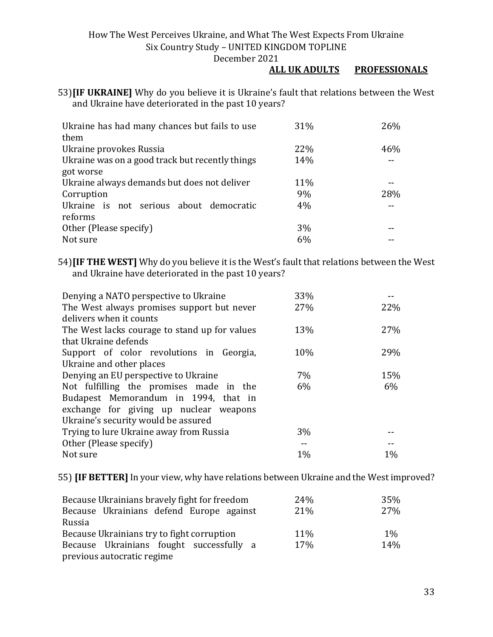#### **ALL UK ADULTS PROFESSIONALS**

53)**[IF UKRAINE]** Why do you believe it is Ukraine's fault that relations between the West and Ukraine have deteriorated in the past 10 years?

| Ukraine has had many chances but fails to use   | 31% | 26% |
|-------------------------------------------------|-----|-----|
| them                                            |     |     |
| Ukraine provokes Russia                         | 22% | 46% |
| Ukraine was on a good track but recently things | 14% |     |
| got worse                                       |     |     |
| Ukraine always demands but does not deliver     | 11% |     |
| Corruption                                      | 9%  | 28% |
| Ukraine is not serious about democratic         | 4%  |     |
| reforms                                         |     |     |
| Other (Please specify)                          | 3%  |     |
| Not sure                                        | 6%  |     |

54)**[IF THE WEST]** Why do you believe it is the West's fault that relations between the West and Ukraine have deteriorated in the past 10 years?

| Denying a NATO perspective to Ukraine         | 33%   |       |
|-----------------------------------------------|-------|-------|
| The West always promises support but never    | 27%   | 22%   |
| delivers when it counts                       |       |       |
| The West lacks courage to stand up for values | 13%   | 27%   |
| that Ukraine defends                          |       |       |
| Support of color revolutions in Georgia,      | 10%   | 29%   |
| Ukraine and other places                      |       |       |
| Denying an EU perspective to Ukraine          | 7%    | 15%   |
| Not fulfilling the promises made in the       | 6%    | $6\%$ |
| Budapest Memorandum in 1994, that in          |       |       |
| exchange for giving up nuclear weapons        |       |       |
| Ukraine's security would be assured           |       |       |
| Trying to lure Ukraine away from Russia       | $3\%$ |       |
| Other (Please specify)                        |       |       |
| Not sure                                      | 1%    | 1%    |

55) **[IF BETTER]**In your view, why have relations between Ukraine and the West improved?

| Because Ukrainians bravely fight for freedom | 24% | 35%   |
|----------------------------------------------|-----|-------|
| Because Ukrainians defend Europe against     | 21% | 27%   |
| Russia                                       |     |       |
| Because Ukrainians try to fight corruption   | 11% | $1\%$ |
| Because Ukrainians fought successfully a     | 17% | 14%   |
| previous autocratic regime                   |     |       |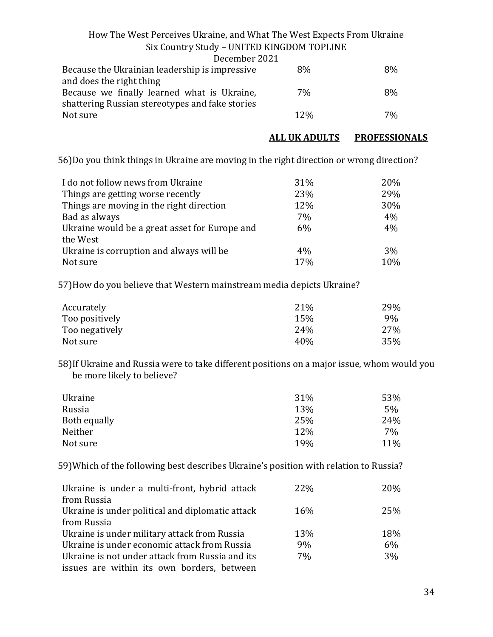| December 2021                                   |        |    |
|-------------------------------------------------|--------|----|
| Because the Ukrainian leadership is impressive  | 8%     | 8% |
| and does the right thing                        |        |    |
| Because we finally learned what is Ukraine,     | 7%     | 8% |
| shattering Russian stereotypes and fake stories |        |    |
| Not sure                                        | $12\%$ | 7% |
|                                                 |        |    |

#### **ALL UK ADULTS PROFESSIONALS**

56)Do you think things in Ukraine are moving in the right direction or wrong direction?

| I do not follow news from Ukraine             | 31%   | 20% |
|-----------------------------------------------|-------|-----|
| Things are getting worse recently             | 23%   | 29% |
| Things are moving in the right direction      | 12%   | 30% |
| Bad as always                                 | 7%    | 4%  |
| Ukraine would be a great asset for Europe and | $6\%$ | 4%  |
| the West                                      |       |     |
| Ukraine is corruption and always will be      | $4\%$ | 3%  |
| Not sure                                      | 17%   | 10% |

57)How do you believe that Western mainstream media depicts Ukraine?

| Accurately     | 21%             | 29% |
|----------------|-----------------|-----|
| Too positively | 15%             | 9%  |
| Too negatively | 24%             | 27% |
| Not sure       | 40 <sub>%</sub> | 35% |

58)If Ukraine and Russia were to take different positions on a major issue, whom would you be more likely to believe?

| Ukraine      | 31% | 53%   |
|--------------|-----|-------|
| Russia       | 13% | $5\%$ |
| Both equally | 25% | 24%   |
| Neither      | 12% | 7%    |
| Not sure     | 19% | 11%   |

59)Which of the following best describes Ukraine's position with relation to Russia?

| Ukraine is under a multi-front, hybrid attack    | <b>22%</b>      | 20%   |
|--------------------------------------------------|-----------------|-------|
| from Russia                                      |                 |       |
| Ukraine is under political and diplomatic attack | 16 <sub>%</sub> | 25%   |
| from Russia                                      |                 |       |
| Ukraine is under military attack from Russia     | 13%             | 18%   |
| Ukraine is under economic attack from Russia     | 9%              | 6%    |
| Ukraine is not under attack from Russia and its  | 7%              | $3\%$ |
| issues are within its own borders, between       |                 |       |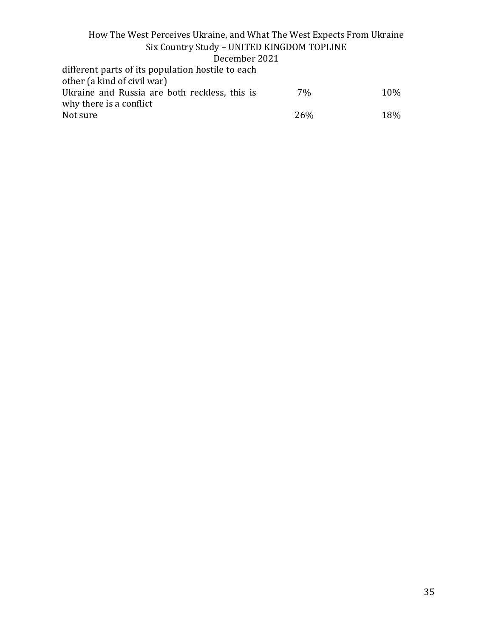#### How The West Perceives Ukraine, and What The West Expects From Ukraine Six Country Study – UNITED KINGDOM TOPLINE December 2021 different parts of its population hostile to each other (a kind of civil war) Ukraine and Russia are both reckless, this is why there is a conflict 7% 10%

Not sure 26% 26% 18%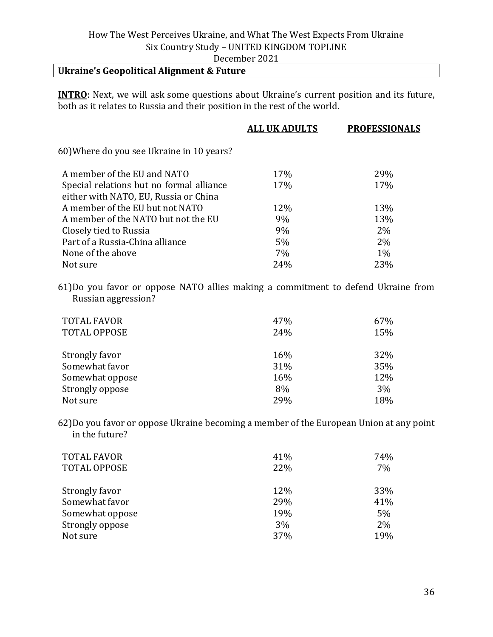#### December 2021

## **Ukraine's Geopolitical Alignment & Future**

**INTRO**: Next, we will ask some questions about Ukraine's current position and its future, both as it relates to Russia and their position in the rest of the world.

|                                           | <b>ALL UK ADULTS</b> | <b>PROFESSIONALS</b> |
|-------------------------------------------|----------------------|----------------------|
| 60) Where do you see Ukraine in 10 years? |                      |                      |
| A member of the EU and NATO               | 17%                  | 29%                  |
| Special relations but no formal alliance  | 17%                  | 17%                  |
| either with NATO, EU, Russia or China     |                      |                      |
| A member of the EU but not NATO           | 12%                  | 13%                  |
| A member of the NATO but not the EU       | 9%                   | 13%                  |
| Closely tied to Russia                    | 9%                   | 2%                   |
| Part of a Russia-China alliance           | 5%                   | 2%                   |
| None of the above                         | 7%                   | $1\%$                |
| Not sure                                  | 24%                  | 23%                  |
|                                           |                      |                      |

61)Do you favor or oppose NATO allies making a commitment to defend Ukraine from Russian aggression?

| <b>TOTAL FAVOR</b><br><b>TOTAL OPPOSE</b> | 47%<br>24% | 67%<br>15% |
|-------------------------------------------|------------|------------|
| Strongly favor                            | 16%        | 32%        |
| Somewhat favor                            | 31%        | 35%        |
| Somewhat oppose                           | 16%        | 12%        |
| Strongly oppose                           | 8%         | 3%         |
| Not sure                                  | 29%        | 18%        |

62)Do you favor or oppose Ukraine becoming a member of the European Union at any point in the future?

| <b>TOTAL FAVOR</b><br><b>TOTAL OPPOSE</b> | 41%<br>22% | 74%<br>7% |
|-------------------------------------------|------------|-----------|
| Strongly favor                            | 12%        | 33%       |
| Somewhat favor                            | 29%        | 41%       |
| Somewhat oppose                           | 19%        | 5%        |
| Strongly oppose                           | 3%         | 2%        |
| Not sure                                  | 37%        | 19%       |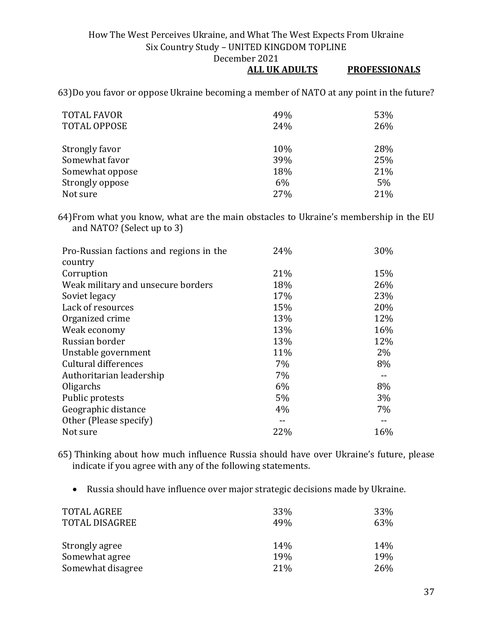#### **ALL UK ADULTS PROFESSIONALS**

63)Do you favor or oppose Ukraine becoming a member of NATO at any point in the future?

| <b>TOTAL FAVOR</b>  | 49% | 53% |
|---------------------|-----|-----|
| <b>TOTAL OPPOSE</b> | 24% | 26% |
|                     |     |     |
| Strongly favor      | 10% | 28% |
| Somewhat favor      | 39% | 25% |
| Somewhat oppose     | 18% | 21% |
| Strongly oppose     | 6%  | 5%  |
| Not sure            | 27% | 21% |

64)From what you know, what are the main obstacles to Ukraine's membership in the EU and NATO? (Select up to 3)

| Pro-Russian factions and regions in the | 24% | 30%   |
|-----------------------------------------|-----|-------|
| country                                 |     |       |
| Corruption                              | 21% | 15%   |
| Weak military and unsecure borders      | 18% | 26%   |
| Soviet legacy                           | 17% | 23%   |
| Lack of resources                       | 15% | 20%   |
| Organized crime                         | 13% | 12%   |
| Weak economy                            | 13% | 16%   |
| Russian border                          | 13% | 12%   |
| Unstable government                     | 11% | $2\%$ |
| Cultural differences                    | 7%  | 8%    |
| Authoritarian leadership                | 7%  |       |
| Oligarchs                               | 6%  | 8%    |
| Public protests                         | 5%  | $3\%$ |
| Geographic distance                     | 4%  | 7%    |
| Other (Please specify)                  | --  |       |
| Not sure                                | 22% | 16%   |

65) Thinking about how much influence Russia should have over Ukraine's future, please indicate if you agree with any of the following statements.

• Russia should have influence over major strategic decisions made by Ukraine.

| <b>TOTAL AGREE</b><br><b>TOTAL DISAGREE</b> | 33%<br>49% | 33%<br>63% |
|---------------------------------------------|------------|------------|
| Strongly agree                              | 14%        | 14%        |
| Somewhat agree                              | 19%        | 19%        |
| Somewhat disagree                           | 21%        | <b>26%</b> |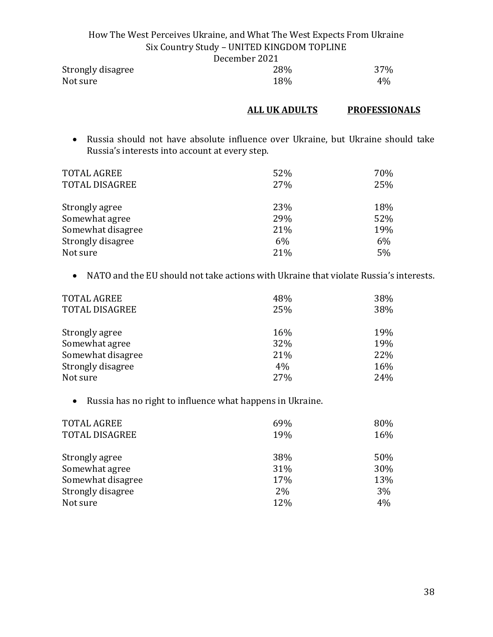| How The West Perceives Ukraine, and What The West Expects From Ukraine |                                            |                 |
|------------------------------------------------------------------------|--------------------------------------------|-----------------|
|                                                                        | Six Country Study - UNITED KINGDOM TOPLINE |                 |
|                                                                        | December 2021                              |                 |
| Strongly disagree                                                      | 28%                                        | 37 <sub>%</sub> |

| Strongly disagree | 20% | 3 / YI |
|-------------------|-----|--------|
| Not sure          | 18% | 4%     |
|                   |     |        |

#### **ALL UK ADULTS PROFESSIONALS**

• Russia should not have absolute influence over Ukraine, but Ukraine should take Russia's interests into account at every step.

| <b>TOTAL AGREE</b><br><b>TOTAL DISAGREE</b> | 52%<br>27% | 70%<br>25% |
|---------------------------------------------|------------|------------|
| Strongly agree                              | 23%        | 18%        |
| Somewhat agree                              | 29%        | 52%        |
| Somewhat disagree                           | 21%        | 19%        |
| Strongly disagree                           | 6%         | $6\%$      |
| Not sure                                    | 21%        | 5%         |

• NATO and the EU should not take actions with Ukraine that violate Russia's interests.

| <b>TOTAL AGREE</b><br><b>TOTAL DISAGREE</b> | 48%<br>25% | 38%<br>38% |
|---------------------------------------------|------------|------------|
| Strongly agree                              | 16%        | 19%        |
| Somewhat agree                              | 32%        | 19%        |
| Somewhat disagree                           | 21%        | 22%        |
| Strongly disagree                           | 4%         | 16%        |
| Not sure                                    | 27%        | 24%        |

• Russia has no right to influence what happens in Ukraine.

| <b>TOTAL AGREE</b><br><b>TOTAL DISAGREE</b> | 69%<br>19% | 80%<br>16% |
|---------------------------------------------|------------|------------|
| Strongly agree                              | 38%        | 50%        |
| Somewhat agree                              | 31%        | 30%        |
| Somewhat disagree                           | 17%        | 13%        |
| Strongly disagree                           | $2\%$      | 3%         |
| Not sure                                    | 12%        | 4%         |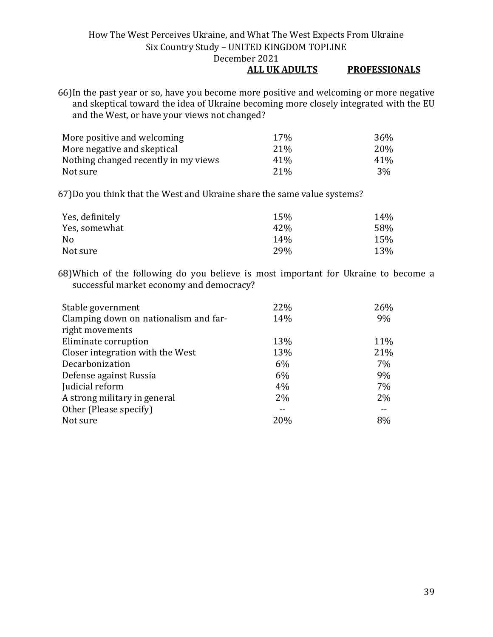#### **ALL UK ADULTS PROFESSIONALS**

66)In the past year or so, have you become more positive and welcoming or more negative and skeptical toward the idea of Ukraine becoming more closely integrated with the EU and the West, or have your views not changed?

| More positive and welcoming          | 17%             | 36% |
|--------------------------------------|-----------------|-----|
| More negative and skeptical          | 21 <sup>%</sup> | 20% |
| Nothing changed recently in my views | 41 <sup>%</sup> | 41% |
| Not sure                             | 21 <sup>%</sup> | 3%  |

67)Do you think that the West and Ukraine share the same value systems?

| Yes, definitely | 15% | 14% |
|-----------------|-----|-----|
| Yes, somewhat   | 42% | 58% |
| No.             | 14% | 15% |
| Not sure        | 29% | 13% |

68)Which of the following do you believe is most important for Ukraine to become a successful market economy and democracy?

| Stable government                     | 22% | 26% |
|---------------------------------------|-----|-----|
| Clamping down on nationalism and far- | 14% | 9%  |
| right movements                       |     |     |
| Eliminate corruption                  | 13% | 11% |
| Closer integration with the West      | 13% | 21% |
| Decarbonization                       | 6%  | 7%  |
| Defense against Russia                | 6%  | 9%  |
| Judicial reform                       | 4%  | 7%  |
| A strong military in general          | 2%  | 2%  |
| Other (Please specify)                |     |     |
| Not sure                              | 20% | 8%  |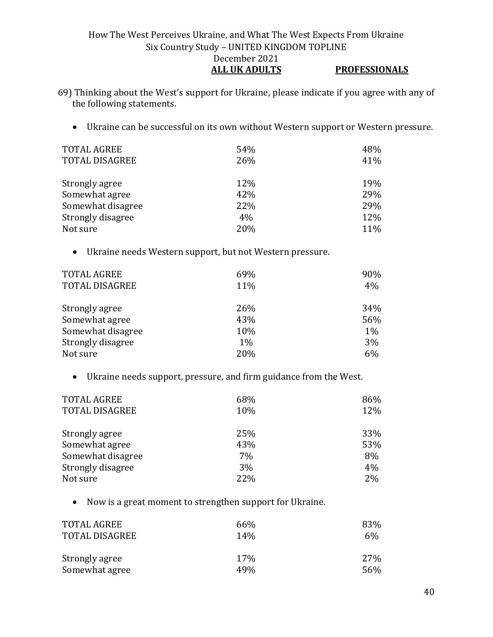#### How The West Perceives Ukraine, and What The West Expects From Ukraine Six Country Study – UNITED KINGDOM TOPLINE December 2021 **ALL UK ADULTS PROFESSIONALS**

- 69) Thinking about the West's support for Ukraine, please indicate if you agree with any of the following statements.
	- Ukraine can be successful on its own without Western support or Western pressure.

| <b>TOTAL AGREE</b><br><b>TOTAL DISAGREE</b> | 54%<br>26% | 48%<br>41% |
|---------------------------------------------|------------|------------|
| Strongly agree                              | 12%        | 19%        |
| Somewhat agree                              | 42%        | 29%        |
| Somewhat disagree                           | 22%        | 29%        |
| Strongly disagree                           | 4%         | 12%        |
| Not sure                                    | 20%        | 11%        |

• Ukraine needs Western support, but not Western pressure.

| <b>TOTAL AGREE</b><br><b>TOTAL DISAGREE</b> | 69%<br>11% | 90%<br>4% |
|---------------------------------------------|------------|-----------|
| Strongly agree                              | 26%        | 34%       |
| Somewhat agree                              | 43%        | 56%       |
| Somewhat disagree                           | 10%        | $1\%$     |
| Strongly disagree                           | $1\%$      | 3%        |
| Not sure                                    | 20%        | 6%        |

• Ukraine needs support, pressure, and firm guidance from the West.

| <b>TOTAL AGREE</b><br><b>TOTAL DISAGREE</b> | 68%<br>10% | 86%<br>12% |
|---------------------------------------------|------------|------------|
| Strongly agree                              | 25%        | 33%        |
| Somewhat agree                              | 43%        | 53%        |
| Somewhat disagree                           | 7%         | 8%         |
| Strongly disagree                           | 3%         | 4%         |
| Not sure                                    | 22%        | 2%         |

• Now is a great moment to strengthen support for Ukraine.

| TOTAL AGREE    | 66%             | 83% |
|----------------|-----------------|-----|
| TOTAL DISAGREE | 14%             | 6%  |
| Strongly agree | 17 <sub>%</sub> | 27% |
| Somewhat agree | 49%             | 56% |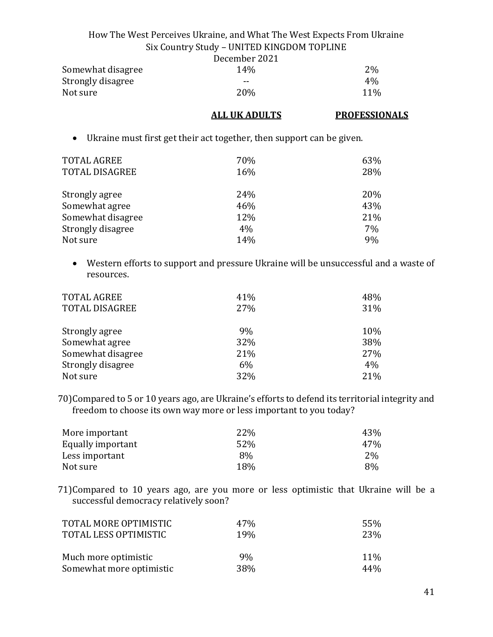|                   | December 2021   |       |
|-------------------|-----------------|-------|
| Somewhat disagree | 14 <sub>%</sub> | 2%    |
| Strongly disagree | $- -$           | $4\%$ |
| Not sure          | 20\%            | 11%   |

#### **ALL UK ADULTS PROFESSIONALS**

• Ukraine must first get their act together, then support can be given.

| <b>TOTAL AGREE</b><br><b>TOTAL DISAGREE</b> | 70%<br>16% | 63%<br>28% |
|---------------------------------------------|------------|------------|
| Strongly agree                              | 24%        | 20%        |
| Somewhat agree                              | 46%        | 43%        |
| Somewhat disagree                           | 12%        | 21%        |
| Strongly disagree                           | 4%         | 7%         |
| Not sure                                    | 14%        | 9%         |

• Western efforts to support and pressure Ukraine will be unsuccessful and a waste of resources.

| TOTAL AGREE<br><b>TOTAL DISAGREE</b> | 41%<br>27% | 48%<br>31% |
|--------------------------------------|------------|------------|
| Strongly agree                       | 9%         | 10%        |
| Somewhat agree                       | 32%        | 38%        |
| Somewhat disagree                    | 21%        | 27%        |
| Strongly disagree                    | 6%         | 4%         |
| Not sure                             | 32%        | 21%        |

70)Compared to 5 or 10 years ago, are Ukraine's efforts to defend its territorial integrity and freedom to choose its own way more or less important to you today?

| More important    | 22% | 43% |
|-------------------|-----|-----|
| Equally important | 52% | 47% |
| Less important    | 8%  | 2%  |
| Not sure          | 18% | 8%  |

71)Compared to 10 years ago, are you more or less optimistic that Ukraine will be a successful democracy relatively soon?

| TOTAL MORE OPTIMISTIC    | 47%             | 55%    |
|--------------------------|-----------------|--------|
| TOTAL LESS OPTIMISTIC    | 19 <sub>%</sub> | 23%    |
| Much more optimistic     | $9\%$           | $11\%$ |
| Somewhat more optimistic | 38%             | 44%    |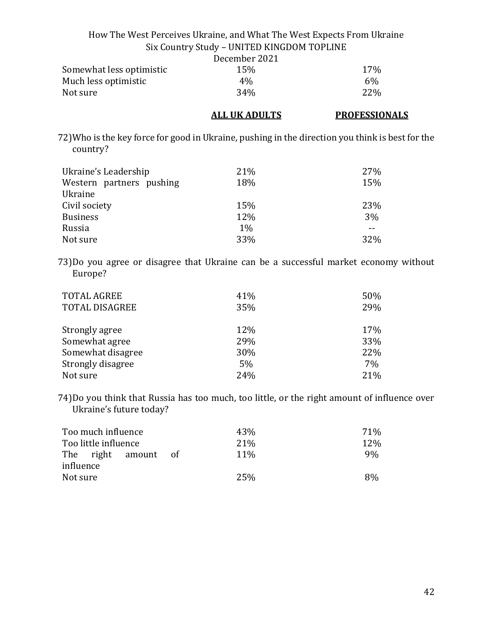|                                                                                                                        | How The West Perceives Ukraine, and What The West Expects From Ukraine |                      |
|------------------------------------------------------------------------------------------------------------------------|------------------------------------------------------------------------|----------------------|
|                                                                                                                        | Six Country Study - UNITED KINGDOM TOPLINE                             |                      |
|                                                                                                                        | December 2021                                                          |                      |
| Somewhat less optimistic                                                                                               | 15%                                                                    | 17%                  |
| Much less optimistic                                                                                                   | 4%                                                                     | 6%                   |
| Not sure                                                                                                               | 34%                                                                    | 22%                  |
|                                                                                                                        | <b>ALL UK ADULTS</b>                                                   | <b>PROFESSIONALS</b> |
| 72) Who is the key force for good in Ukraine, pushing in the direction you think is best for the<br>country?           |                                                                        |                      |
| Ukraine's Leadership                                                                                                   | 21%                                                                    | 27%                  |
| Western partners pushing<br>Ukraine                                                                                    | 18%                                                                    | 15%                  |
| Civil society                                                                                                          | 15%                                                                    | 23%                  |
| <b>Business</b>                                                                                                        | 12%                                                                    | 3%                   |
| Russia                                                                                                                 | $1\%$                                                                  | $\sim$ $\sim$        |
| Not sure                                                                                                               | 33%                                                                    | 32%                  |
| 73)Do you agree or disagree that Ukraine can be a successful market economy without<br>Europe?                         |                                                                        |                      |
| <b>TOTAL AGREE</b>                                                                                                     | 41%                                                                    | 50%                  |
| <b>TOTAL DISAGREE</b>                                                                                                  | 35%                                                                    | 29%                  |
| Strongly agree                                                                                                         | 12%                                                                    | 17%                  |
| Somewhat agree                                                                                                         | 29%                                                                    | 33%                  |
| Somewhat disagree                                                                                                      | 30%                                                                    | 22%                  |
| Strongly disagree                                                                                                      | 5%                                                                     | 7%                   |
| Not sure                                                                                                               | 24%                                                                    | 21%                  |
| 74)Do you think that Russia has too much, too little, or the right amount of influence over<br>Ukraine's future today? |                                                                        |                      |

| Too much influence            | 43%         | 71% |
|-------------------------------|-------------|-----|
| Too little influence          | 21%         | 12% |
| The right amount<br>influence | 11%<br>- of | 9%  |
| Not sure                      | 25%         | 8%  |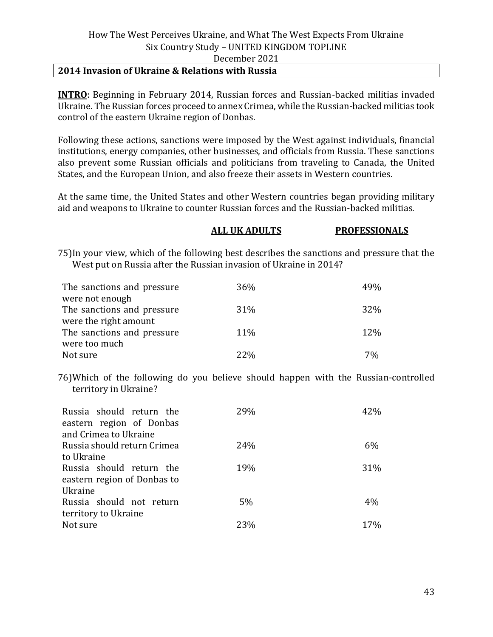#### **2014 Invasion of Ukraine & Relations with Russia**

**INTRO**: Beginning in February 2014, Russian forces and Russian-backed militias invaded Ukraine. The Russian forces proceed to annex Crimea, while the Russian-backed militias took control of the eastern Ukraine region of Donbas.

Following these actions, sanctions were imposed by the West against individuals, financial institutions, energy companies, other businesses, and officials from Russia. These sanctions also prevent some Russian officials and politicians from traveling to Canada, the United States, and the European Union, and also freeze their assets in Western countries.

At the same time, the United States and other Western countries began providing military aid and weapons to Ukraine to counter Russian forces and the Russian-backed militias.

#### **ALL UK ADULTS PROFESSIONALS**

75)In your view, which of the following best describes the sanctions and pressure that the West put on Russia after the Russian invasion of Ukraine in 2014?

| The sanctions and pressure | 36%        | 49%        |
|----------------------------|------------|------------|
| were not enough            |            |            |
| The sanctions and pressure | 31%        | <b>32%</b> |
| were the right amount      |            |            |
| The sanctions and pressure | 11%        | 12%        |
| were too much              |            |            |
| Not sure                   | <b>22%</b> | 70/        |

76)Which of the following do you believe should happen with the Russian-controlled territory in Ukraine?

| Russia should return the<br>eastern region of Donbas<br>and Crimea to Ukraine | 29%   | 42%   |
|-------------------------------------------------------------------------------|-------|-------|
| Russia should return Crimea                                                   | 24%   | $6\%$ |
| to Ukraine<br>Russia should return the<br>eastern region of Donbas to         | 19%   | 31%   |
| Ukraine<br>Russia should not return<br>territory to Ukraine                   | $5\%$ | $4\%$ |
| Not sure                                                                      | 23%   | 17%   |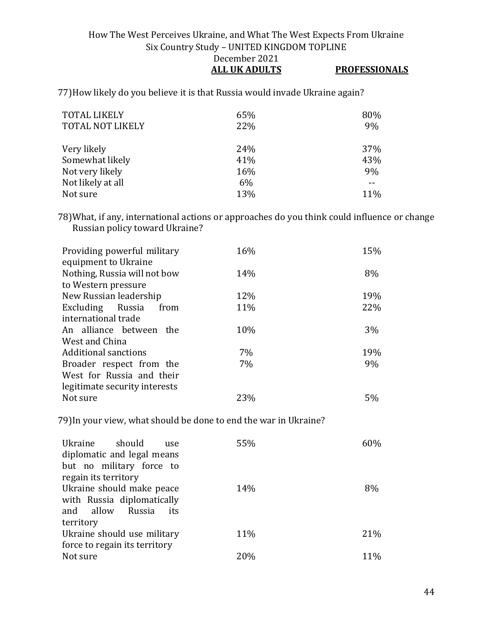#### How The West Perceives Ukraine, and What The West Expects From Ukraine Six Country Study – UNITED KINGDOM TOPLINE December 2021 **ALL UK ADULTS PROFESSIONALS**

77)How likely do you believe it is that Russia would invade Ukraine again?

| <b>TOTAL LIKELY</b><br><b>TOTAL NOT LIKELY</b> | 65%<br>22% | 80%<br>9% |
|------------------------------------------------|------------|-----------|
| Very likely                                    | 24%        | 37%       |
| Somewhat likely                                | 41%        | 43%       |
| Not very likely                                | 16%        | 9%        |
| Not likely at all                              | 6%         |           |
| Not sure                                       | 13%        | 11%       |

78)What, if any, international actions or approaches do you think could influence or change Russian policy toward Ukraine?

| Providing powerful military<br>equipment to Ukraine | 16% | 15%   |
|-----------------------------------------------------|-----|-------|
| Nothing, Russia will not bow                        | 14% | 8%    |
| to Western pressure                                 |     |       |
| New Russian leadership                              | 12% | 19%   |
| Excluding Russia<br>from                            | 11% | 22%   |
| international trade                                 |     |       |
| An alliance between the                             | 10% | $3\%$ |
| West and China                                      |     |       |
| Additional sanctions                                | 7%  | 19%   |
| Broader respect from the                            | 7%  | 9%    |
| West for Russia and their                           |     |       |
| legitimate security interests                       |     |       |
| Not sure                                            | 23% | 5%    |
|                                                     |     |       |

79)In your view, what should be done to end the war in Ukraine?

| Ukraine should<br>use<br>diplomatic and legal means<br>but no military force to | 55% | 60% |
|---------------------------------------------------------------------------------|-----|-----|
| regain its territory                                                            |     |     |
|                                                                                 |     |     |
| Ukraine should make peace                                                       | 14% | 8%  |
| with Russia diplomatically                                                      |     |     |
| and allow Russia<br>its                                                         |     |     |
| territory                                                                       |     |     |
| Ukraine should use military                                                     | 11% | 21% |
| force to regain its territory                                                   |     |     |
| Not sure                                                                        | 20% | 11% |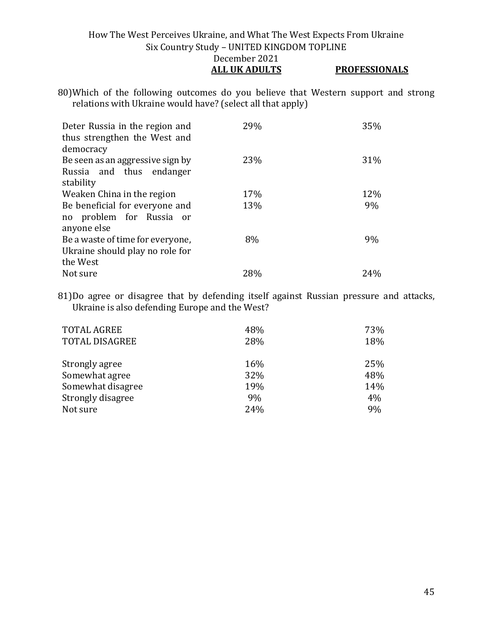#### How The West Perceives Ukraine, and What The West Expects From Ukraine Six Country Study – UNITED KINGDOM TOPLINE December 2021 **ALL UK ADULTS PROFESSIONALS**

80)Which of the following outcomes do you believe that Western support and strong relations with Ukraine would have? (select all that apply)

| Deter Russia in the region and<br>thus strengthen the West and<br>democracy | 29% | 35% |
|-----------------------------------------------------------------------------|-----|-----|
| Be seen as an aggressive sign by                                            | 23% | 31% |
| Russia and thus endanger<br>stability                                       |     |     |
| Weaken China in the region                                                  | 17% | 12% |
| Be beneficial for everyone and                                              | 13% | 9%  |
| no problem for Russia or                                                    |     |     |
| anyone else                                                                 |     |     |
| Be a waste of time for everyone,                                            | 8%  | 9%  |
| Ukraine should play no role for                                             |     |     |
| the West                                                                    |     |     |
| Not sure                                                                    | 28% | 24% |

81)Do agree or disagree that by defending itself against Russian pressure and attacks, Ukraine is also defending Europe and the West?

| <b>TOTAL AGREE</b>    | 48% | 73% |
|-----------------------|-----|-----|
| <b>TOTAL DISAGREE</b> | 28% | 18% |
| Strongly agree        | 16% | 25% |
| Somewhat agree        | 32% | 48% |
| Somewhat disagree     | 19% | 14% |
| Strongly disagree     | 9%  | 4%  |
| Not sure              | 24% | 9%  |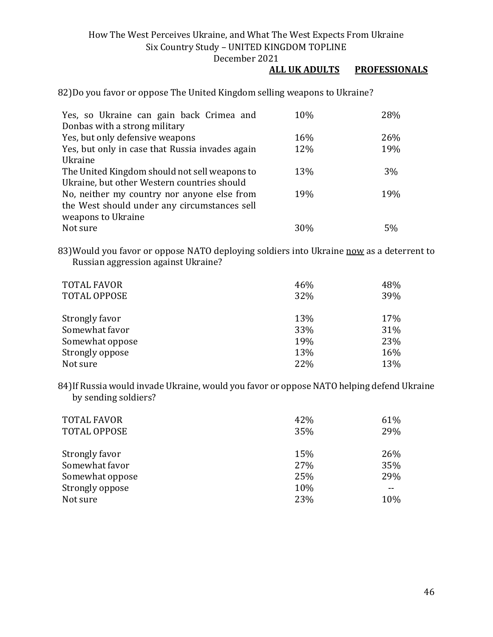December 2021

#### **ALL UK ADULTS PROFESSIONALS**

82)Do you favor or oppose The United Kingdom selling weapons to Ukraine?

| Yes, so Ukraine can gain back Crimea and        | 10% | 28% |
|-------------------------------------------------|-----|-----|
| Donbas with a strong military                   |     |     |
| Yes, but only defensive weapons                 | 16% | 26% |
| Yes, but only in case that Russia invades again | 12% | 19% |
| Ukraine                                         |     |     |
| The United Kingdom should not sell weapons to   | 13% | 3%  |
| Ukraine, but other Western countries should     |     |     |
| No, neither my country nor anyone else from     | 19% | 19% |
| the West should under any circumstances sell    |     |     |
| weapons to Ukraine                              |     |     |
| Not sure                                        | 30% | 5%  |

83) Would you favor or oppose NATO deploying soldiers into Ukraine now as a deterrent to Russian aggression against Ukraine?

| <b>TOTAL FAVOR</b><br><b>TOTAL OPPOSE</b> | 46%<br>32% | 48%<br>39% |
|-------------------------------------------|------------|------------|
| Strongly favor                            | 13%        | 17%        |
| Somewhat favor                            | 33%        | 31%        |
| Somewhat oppose                           | 19%        | 23%        |
| Strongly oppose                           | 13%        | 16%        |
| Not sure                                  | 22%        | 13%        |

84)If Russia would invade Ukraine, would you favor or oppose NATO helping defend Ukraine by sending soldiers?

| <b>TOTAL FAVOR</b><br><b>TOTAL OPPOSE</b> | 42%<br>35% | 61%<br>29% |
|-------------------------------------------|------------|------------|
| Strongly favor                            | 15%        | 26%        |
| Somewhat favor                            | 27%        | 35%        |
| Somewhat oppose                           | 25%        | 29%        |
| Strongly oppose                           | 10%        | $- -$      |
| Not sure                                  | 23%        | 10%        |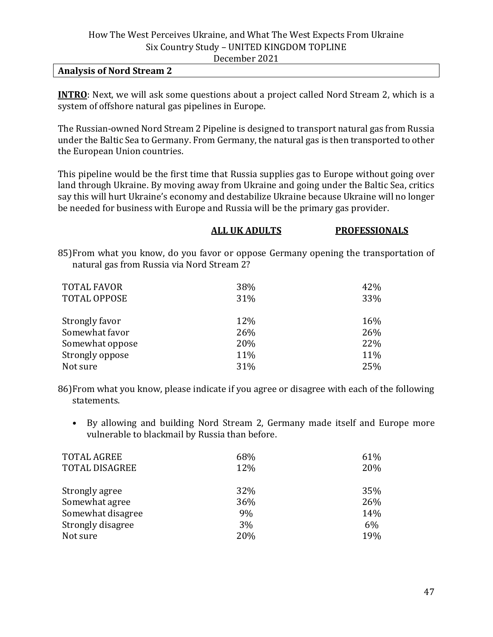#### **Analysis of Nord Stream 2**

**INTRO**: Next, we will ask some questions about a project called Nord Stream 2, which is a system of offshore natural gas pipelines in Europe.

The Russian-owned Nord Stream 2 Pipeline is designed to transport natural gas from Russia under the Baltic Sea to Germany. From Germany, the natural gas is then transported to other the European Union countries.

This pipeline would be the first time that Russia supplies gas to Europe without going over land through Ukraine. By moving away from Ukraine and going under the Baltic Sea, critics say this will hurt Ukraine's economy and destabilize Ukraine because Ukraine will no longer be needed for business with Europe and Russia will be the primary gas provider.

#### **ALL UK ADULTS PROFESSIONALS**

85)From what you know, do you favor or oppose Germany opening the transportation of natural gas from Russia via Nord Stream 2?

| <b>TOTAL FAVOR</b>  | 38% | 42% |
|---------------------|-----|-----|
| <b>TOTAL OPPOSE</b> | 31% | 33% |
| Strongly favor      | 12% | 16% |
| Somewhat favor      | 26% | 26% |
| Somewhat oppose     | 20% | 22% |
| Strongly oppose     | 11% | 11% |
| Not sure            | 31% | 25% |

86)From what you know, please indicate if you agree or disagree with each of the following statements.

• By allowing and building Nord Stream 2, Germany made itself and Europe more vulnerable to blackmail by Russia than before.

| 68% | 61%   |
|-----|-------|
| 12% | 20%   |
| 32% | 35%   |
| 36% | 26%   |
| 9%  | 14%   |
| 3%  | $6\%$ |
| 20% | 19%   |
|     |       |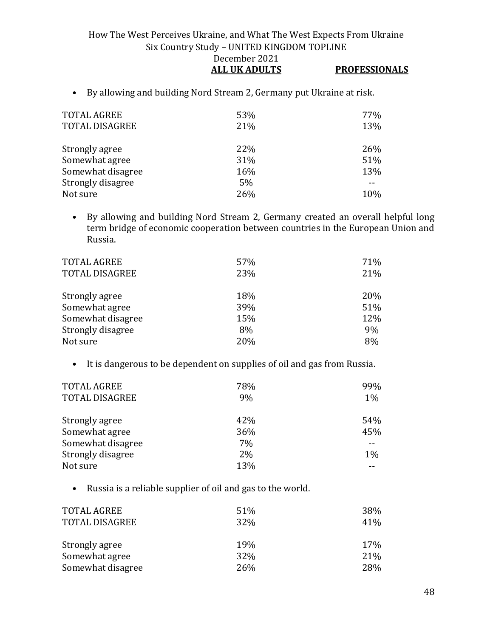#### How The West Perceives Ukraine, and What The West Expects From Ukraine Six Country Study – UNITED KINGDOM TOPLINE December 2021 **ALL UK ADULTS PROFESSIONALS**

• By allowing and building Nord Stream 2, Germany put Ukraine at risk.

| <b>TOTAL AGREE</b><br><b>TOTAL DISAGREE</b> | 53%<br>21% | 77%<br>13% |
|---------------------------------------------|------------|------------|
| Strongly agree                              | 22%        | 26%        |
| Somewhat agree                              | 31%        | 51%        |
| Somewhat disagree                           | 16%        | 13%        |
| Strongly disagree                           | 5%         |            |
| Not sure                                    | 26%        | 10%        |

• By allowing and building Nord Stream 2, Germany created an overall helpful long term bridge of economic cooperation between countries in the European Union and Russia.

| <b>TOTAL AGREE</b><br><b>TOTAL DISAGREE</b> | 57%<br>23% | 71%<br>21% |
|---------------------------------------------|------------|------------|
| Strongly agree                              | 18%        | 20%        |
| Somewhat agree                              | 39%        | 51%        |
| Somewhat disagree                           | 15%        | 12%        |
| Strongly disagree                           | 8%         | 9%         |
| Not sure                                    | 20%        | 8%         |
|                                             |            |            |

• It is dangerous to be dependent on supplies of oil and gas from Russia.

| <b>TOTAL AGREE</b><br><b>TOTAL DISAGREE</b> | 78%<br>9% | 99%<br>$1\%$ |
|---------------------------------------------|-----------|--------------|
| Strongly agree                              | 42%       | 54%          |
| Somewhat agree                              | 36%       | 45%          |
| Somewhat disagree                           | 7%        |              |
| Strongly disagree                           | 2%        | 1%           |
| Not sure                                    | 13%       |              |

• Russia is a reliable supplier of oil and gas to the world.

| <b>TOTAL AGREE</b><br><b>TOTAL DISAGREE</b> | 51%<br>32% | 38%<br>41% |
|---------------------------------------------|------------|------------|
| Strongly agree                              | 19%        | 17%        |
| Somewhat agree                              | 32%        | 21%        |
| Somewhat disagree                           | <b>26%</b> | 28%        |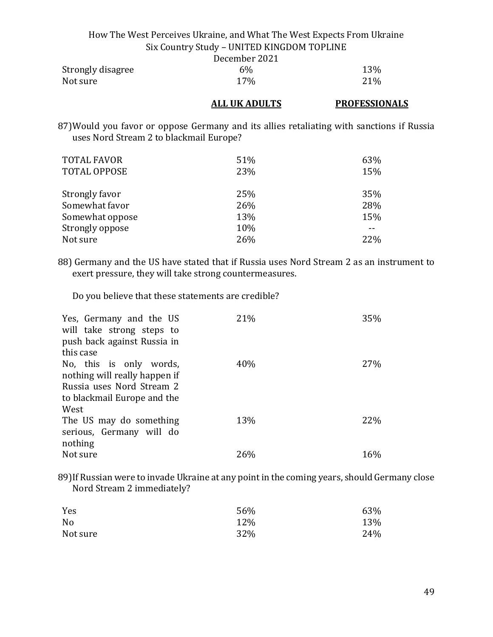|                   | How The West Perceives Ukraine, and What The West Expects From Ukraine |            |
|-------------------|------------------------------------------------------------------------|------------|
|                   |                                                                        |            |
|                   | Six Country Study - UNITED KINGDOM TOPLINE                             |            |
|                   | December 2021                                                          |            |
| Strongly disagree | $6\%$                                                                  | <b>13%</b> |

| Su ongiy disagree | O 70. | 1 J 70 |
|-------------------|-------|--------|
| Not sure          | 17%   | 21%    |
|                   |       |        |

#### **ALL UK ADULTS PROFESSIONALS**

87)Would you favor or oppose Germany and its allies retaliating with sanctions if Russia uses Nord Stream 2 to blackmail Europe?

| <b>TOTAL FAVOR</b><br><b>TOTAL OPPOSE</b> | 51%<br>23% | 63%<br>15% |
|-------------------------------------------|------------|------------|
| Strongly favor                            | 25%        | 35%        |
| Somewhat favor                            | 26%        | 28%        |
| Somewhat oppose                           | 13%        | 15%        |
| Strongly oppose                           | 10%        |            |
| Not sure                                  | 26%        | 22%        |

88) Germany and the US have stated that if Russia uses Nord Stream 2 as an instrument to exert pressure, they will take strong countermeasures.

Do you believe that these statements are credible?

| Yes, Germany and the US<br>will take strong steps to<br>push back against Russia in<br>this case                             | 21% | 35%        |
|------------------------------------------------------------------------------------------------------------------------------|-----|------------|
| No, this is only words,<br>nothing will really happen if<br>Russia uses Nord Stream 2<br>to blackmail Europe and the<br>West | 40% | <b>27%</b> |
| The US may do something<br>serious, Germany will do<br>nothing                                                               | 13% | <b>22%</b> |
| Not sure                                                                                                                     | 26% | 16%        |

89)If Russian were to invade Ukraine at any point in the coming years, should Germany close Nord Stream 2 immediately?

| Yes      | 56% | 63% |
|----------|-----|-----|
| No       | 12% | 13% |
| Not sure | 32% | 24% |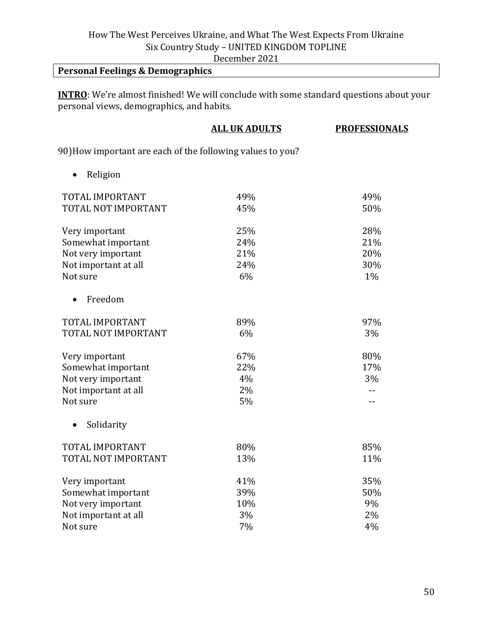December 2021

## **Personal Feelings & Demographics**

**INTRO**: We're almost finished! We will conclude with some standard questions about your personal views, demographics, and habits.

|                                                            | <b>ALL UK ADULTS</b> | <b>PROFESSIONALS</b> |
|------------------------------------------------------------|----------------------|----------------------|
| 90) How important are each of the following values to you? |                      |                      |
| Religion                                                   |                      |                      |
| TOTAL IMPORTANT                                            | 49%                  | 49%                  |
| TOTAL NOT IMPORTANT                                        | 45%                  | 50%                  |
| Very important                                             | 25%                  | 28%                  |
| Somewhat important                                         | 24%                  | 21%                  |
| Not very important                                         | 21%                  | 20%                  |
| Not important at all                                       | 24%                  | 30%                  |
| Not sure                                                   | 6%                   | 1%                   |
| Freedom                                                    |                      |                      |
| TOTAL IMPORTANT                                            | 89%                  | 97%                  |
| TOTAL NOT IMPORTANT                                        | 6%                   | 3%                   |
| Very important                                             | 67%                  | 80%                  |
| Somewhat important                                         | 22%                  | 17%                  |
| Not very important                                         | 4%                   | 3%                   |
| Not important at all                                       | 2%                   | $-$                  |
| Not sure                                                   | 5%                   | $-$                  |
| Solidarity<br>$\bullet$                                    |                      |                      |
| TOTAL IMPORTANT                                            | 80%                  | 85%                  |
| TOTAL NOT IMPORTANT                                        | 13%                  | 11%                  |
| Very important                                             | 41%                  | 35%                  |
| Somewhat important                                         | 39%                  | 50%                  |
| Not very important                                         | 10%                  | 9%                   |
| Not important at all                                       | 3%                   | 2%                   |
| Not sure                                                   | 7%                   | 4%                   |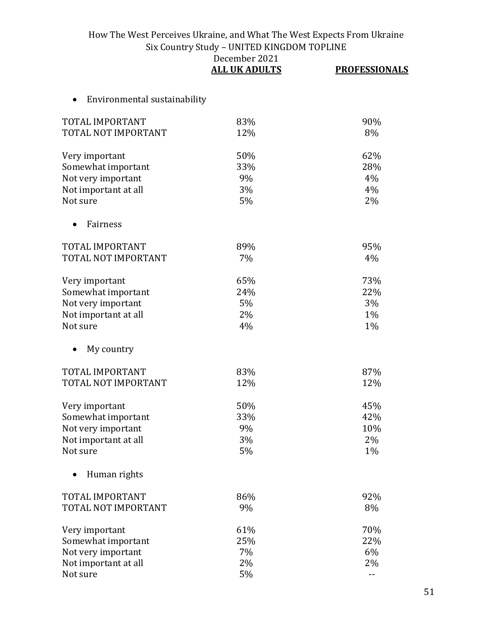|                              | December 2021<br><b>ALL UK ADULTS</b> | <b>PROFESSIONALS</b> |
|------------------------------|---------------------------------------|----------------------|
| Environmental sustainability |                                       |                      |
| TOTAL IMPORTANT              | 83%                                   | 90%                  |
| TOTAL NOT IMPORTANT          | 12%                                   | 8%                   |
| Very important               | 50%                                   | 62%                  |
| Somewhat important           | 33%                                   | 28%                  |
| Not very important           | 9%                                    | 4%                   |
| Not important at all         | 3%                                    | 4%                   |
| Not sure                     | 5%                                    | 2%                   |
| Fairness                     |                                       |                      |
| TOTAL IMPORTANT              | 89%                                   | 95%                  |
| TOTAL NOT IMPORTANT          | 7%                                    | 4%                   |
| Very important               | 65%                                   | 73%                  |
| Somewhat important           | 24%                                   | 22%                  |
| Not very important           | 5%                                    | 3%                   |
| Not important at all         | 2%                                    | 1%                   |
| Not sure                     | 4%                                    | $1\%$                |
| My country                   |                                       |                      |
| <b>TOTAL IMPORTANT</b>       | 83%                                   | 87%                  |
| TOTAL NOT IMPORTANT          | 12%                                   | 12%                  |
| Very important               | 50%                                   | 45%                  |
| Somewhat important           | 33%                                   | 42%                  |
| Not very important           | 9%                                    | 10%                  |
| Not important at all         | 3%                                    | 2%                   |
| Not sure                     | 5%                                    | 1%                   |
| Human rights                 |                                       |                      |
| TOTAL IMPORTANT              | 86%                                   | 92%                  |
| TOTAL NOT IMPORTANT          | 9%                                    | 8%                   |
| Very important               | 61%                                   | 70%                  |
| Somewhat important           | 25%                                   | 22%                  |
| Not very important           | 7%                                    | 6%                   |
| Not important at all         | 2%                                    | 2%                   |
| Not sure                     | 5%                                    | $-$                  |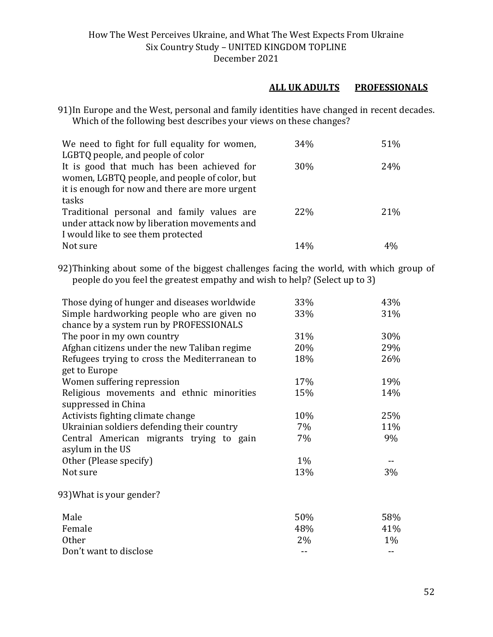#### **ALL UK ADULTS PROFESSIONALS**

91)In Europe and the West, personal and family identities have changed in recent decades. Which of the following best describes your views on these changes?

| We need to fight for full equality for women,  | 34%             | 51% |
|------------------------------------------------|-----------------|-----|
| LGBTQ people, and people of color              |                 |     |
| It is good that much has been achieved for     | 30%             | 24% |
| women, LGBTQ people, and people of color, but  |                 |     |
| it is enough for now and there are more urgent |                 |     |
| tasks                                          |                 |     |
| Traditional personal and family values are     | 22%             | 21% |
| under attack now by liberation movements and   |                 |     |
| I would like to see them protected             |                 |     |
| Not sure                                       | 14 <sub>%</sub> |     |

92)Thinking about some of the biggest challenges facing the world, with which group of people do you feel the greatest empathy and wish to help? (Select up to 3)

| Those dying of hunger and diseases worldwide  | 33% | 43%   |
|-----------------------------------------------|-----|-------|
| Simple hardworking people who are given no    | 33% | 31%   |
| chance by a system run by PROFESSIONALS       |     |       |
| The poor in my own country                    | 31% | 30%   |
| Afghan citizens under the new Taliban regime  | 20% | 29%   |
| Refugees trying to cross the Mediterranean to | 18% | 26%   |
| get to Europe                                 |     |       |
| Women suffering repression                    | 17% | 19%   |
| Religious movements and ethnic minorities     | 15% | 14%   |
| suppressed in China                           |     |       |
| Activists fighting climate change             | 10% | 25%   |
| Ukrainian soldiers defending their country    | 7%  | 11%   |
| Central American migrants trying to gain      | 7%  | 9%    |
| asylum in the US                              |     |       |
| Other (Please specify)                        | 1%  |       |
| Not sure                                      | 13% | 3%    |
|                                               |     |       |
| 93) What is your gender?                      |     |       |
|                                               |     |       |
| Male                                          | 50% | 58%   |
| Female                                        | 48% | 41%   |
| <b>Other</b>                                  | 2%  | $1\%$ |
| Don't want to disclose                        |     |       |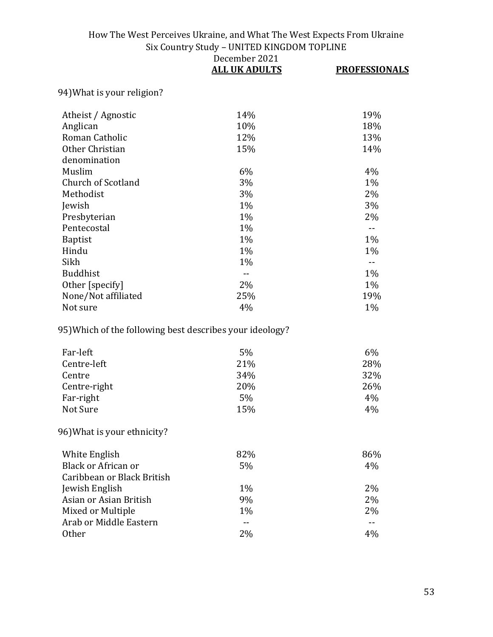|                                                          | December 2021<br><b>ALL UK ADULTS</b> | <b>PROFESSIONALS</b> |
|----------------------------------------------------------|---------------------------------------|----------------------|
| 94) What is your religion?                               |                                       |                      |
|                                                          |                                       |                      |
| Atheist / Agnostic                                       | 14%                                   | 19%                  |
| Anglican                                                 | 10%                                   | 18%                  |
| Roman Catholic                                           | 12%                                   | 13%                  |
| Other Christian                                          | 15%                                   | 14%                  |
| denomination                                             |                                       |                      |
| Muslim                                                   | 6%                                    | 4%                   |
| Church of Scotland                                       | 3%                                    | 1%                   |
| Methodist                                                | 3%                                    | 2%                   |
| Jewish                                                   | 1%                                    | 3%                   |
| Presbyterian                                             | 1%                                    | 2%                   |
| Pentecostal                                              | 1%                                    | $-$                  |
| <b>Baptist</b>                                           | $1\%$                                 | $1\%$                |
| Hindu                                                    | 1%                                    | 1%                   |
| Sikh                                                     | 1%                                    |                      |
| <b>Buddhist</b>                                          | $-1$                                  | 1%                   |
| Other [specify]                                          | 2%                                    | $1\%$                |
| None/Not affiliated                                      | 25%                                   | 19%                  |
| Not sure                                                 | 4%                                    | 1%                   |
| 95) Which of the following best describes your ideology? |                                       |                      |
|                                                          |                                       |                      |

| Far-left     | 5%  | $6\%$ |
|--------------|-----|-------|
| Centre-left  | 21% | 28%   |
| Centre       | 34% | 32%   |
| Centre-right | 20% | 26%   |
| Far-right    | 5%  | 4%    |
| Not Sure     | 15% | 4%    |

# 96)What is your ethnicity?

| White English              | 82%   | 86%   |
|----------------------------|-------|-------|
| Black or African or        | 5%    | 4%    |
| Caribbean or Black British |       |       |
| Jewish English             | $1\%$ | 2%    |
| Asian or Asian British     | 9%    | 2%    |
| Mixed or Multiple          | $1\%$ | $2\%$ |
| Arab or Middle Eastern     |       |       |
| 0ther                      | 2%    | 4%    |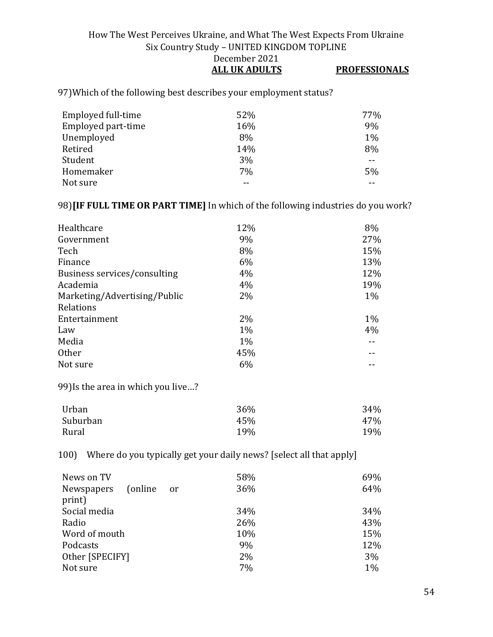#### How The West Perceives Ukraine, and What The West Expects From Ukraine Six Country Study – UNITED KINGDOM TOPLINE December 2021 **ALL UK ADULTS PROFESSIONALS**

97)Which of the following best describes your employment status?

| Employed full-time | 52% | 77%   |
|--------------------|-----|-------|
| Employed part-time | 16% | 9%    |
| Unemployed         | 8%  | $1\%$ |
| Retired            | 14% | 8%    |
| Student            | 3%  | --    |
| Homemaker          | 7%  | 5%    |
| Not sure           |     |       |

#### 98)**[IF FULL TIME OR PART TIME]** In which of the following industries do you work?

| Healthcare                   | 12%   | 8%    |
|------------------------------|-------|-------|
| Government                   | 9%    | 27%   |
| Tech                         | 8%    | 15%   |
| Finance                      | 6%    | 13%   |
| Business services/consulting | 4%    | 12%   |
| Academia                     | 4%    | 19%   |
| Marketing/Advertising/Public | 2%    | $1\%$ |
| Relations                    |       |       |
| Entertainment                | 2%    | $1\%$ |
| Law                          | $1\%$ | 4%    |
| Media                        | $1\%$ |       |
| <b>Other</b>                 | 45%   |       |
| Not sure                     | 6%    |       |

99)Is the area in which you live…?

| Urban    | 36% | 34% |
|----------|-----|-----|
| Suburban | 45% | 47% |
| Rural    | 19% | 19% |

100) Where do you typically get your daily news? [select all that apply]

| News on TV<br>(online)<br>Newspapers<br>print) | 58%<br>36%<br><sub>or</sub> | 69%<br>64% |
|------------------------------------------------|-----------------------------|------------|
| Social media                                   | 34%                         | 34%        |
| Radio                                          | 26%                         | 43%        |
| Word of mouth                                  | 10%                         | 15%        |
| Podcasts                                       | 9%                          | 12%        |
| Other [SPECIFY]                                | 2%                          | 3%         |
| Not sure                                       | 7%                          | $1\%$      |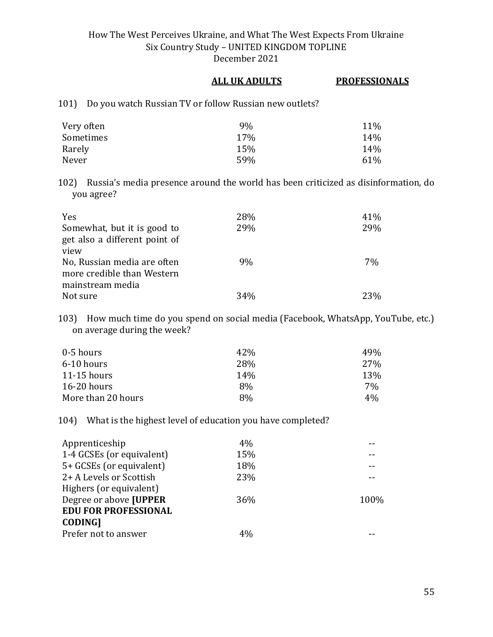#### **ALL UK ADULTS PROFESSIONALS**

101) Do you watch Russian TV or follow Russian new outlets?

| Very often | 9%  | 11% |
|------------|-----|-----|
| Sometimes  | 17% | 14% |
| Rarely     | 15% | 14% |
| Never      | 59% | 61% |

102) Russia's media presence around the world has been criticized as disinformation, do you agree?

| <b>Yes</b>                    | 28% | 41\% |
|-------------------------------|-----|------|
| Somewhat, but it is good to   | 29% | 29%  |
| get also a different point of |     |      |
| view                          |     |      |
| No, Russian media are often   | 9%  | 7%   |
| more credible than Western    |     |      |
| mainstream media              |     |      |
| Not sure                      | 34% | 23%  |

103) How much time do you spend on social media (Facebook, WhatsApp, YouTube, etc.) on average during the week?

| 0-5 hours          | 42% | 49%   |
|--------------------|-----|-------|
| 6-10 hours         | 28% | 27%   |
| $11-15$ hours      | 14% | 13%   |
| $16-20$ hours      | 8%  | 7%    |
| More than 20 hours | 8%  | $4\%$ |

#### 104) What is the highest level of education you have completed?

| Apprenticeship              | 4%  |      |
|-----------------------------|-----|------|
| 1-4 GCSEs (or equivalent)   | 15% |      |
| 5+ GCSEs (or equivalent)    | 18% |      |
| 2+ A Levels or Scottish     | 23% |      |
| Highers (or equivalent)     |     |      |
| Degree or above [UPPER      | 36% | 100% |
| <b>EDU FOR PROFESSIONAL</b> |     |      |
| <b>CODING1</b>              |     |      |
| Prefer not to answer        | 4%  |      |
|                             |     |      |